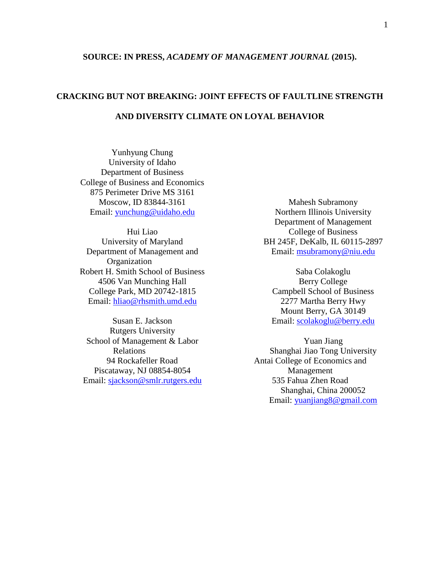## **SOURCE: IN PRESS,** *ACADEMY OF MANAGEMENT JOURNAL* **(2015).**

# **CRACKING BUT NOT BREAKING: JOINT EFFECTS OF FAULTLINE STRENGTH AND DIVERSITY CLIMATE ON LOYAL BEHAVIOR**

Yunhyung Chung University of Idaho Department of Business College of Business and Economics 875 Perimeter Drive MS 3161 Moscow, ID 83844-3161 Email: [yunchung@uidaho.edu](mailto:yunchung@uidaho.edu)

Hui Liao University of Maryland Department of Management and **Organization** Robert H. Smith School of Business 4506 Van Munching Hall College Park, MD 20742-1815 Email: [hliao@rhsmith.umd.edu](mailto:hliao@rhsmith.umd.edu)

Susan E. Jackson Rutgers University School of Management & Labor Relations 94 Rockafeller Road Piscataway, NJ 08854-8054 Email: [sjackson@smlr.rutgers.edu](mailto:sjackson@smlr.rutgers.edu) 

Mahesh Subramony Northern Illinois University Department of Management College of Business BH 245F, DeKalb, IL 60115-2897 Email: [msubramony@niu.edu](mailto:msubramony@niu.edu) 

Saba Colakoglu Berry College Campbell School of Business 2277 Martha Berry Hwy Mount Berry, GA 30149 Email: [scolakoglu@berry.edu](mailto:scolakoglu@berry.edu)

Yuan Jiang Shanghai Jiao Tong University Antai College of Economics and Management 535 Fahua Zhen Road Shanghai, China 200052 Email: [yuanjiang8@gmail.com](mailto:yuanjiang8@gmail.com)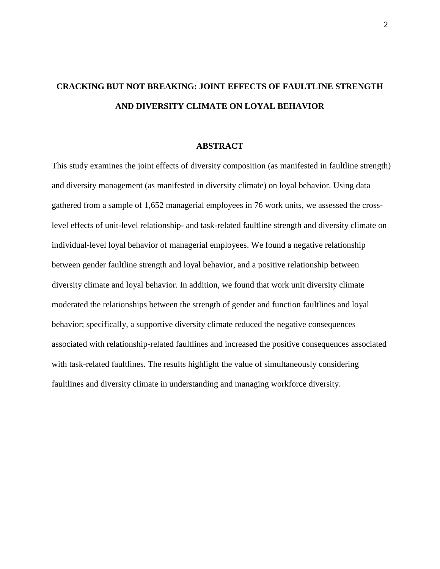# **CRACKING BUT NOT BREAKING: JOINT EFFECTS OF FAULTLINE STRENGTH AND DIVERSITY CLIMATE ON LOYAL BEHAVIOR**

#### **ABSTRACT**

This study examines the joint effects of diversity composition (as manifested in faultline strength) and diversity management (as manifested in diversity climate) on loyal behavior. Using data gathered from a sample of 1,652 managerial employees in 76 work units, we assessed the crosslevel effects of unit-level relationship- and task-related faultline strength and diversity climate on individual-level loyal behavior of managerial employees. We found a negative relationship between gender faultline strength and loyal behavior, and a positive relationship between diversity climate and loyal behavior. In addition, we found that work unit diversity climate moderated the relationships between the strength of gender and function faultlines and loyal behavior; specifically, a supportive diversity climate reduced the negative consequences associated with relationship-related faultlines and increased the positive consequences associated with task-related faultlines. The results highlight the value of simultaneously considering faultlines and diversity climate in understanding and managing workforce diversity.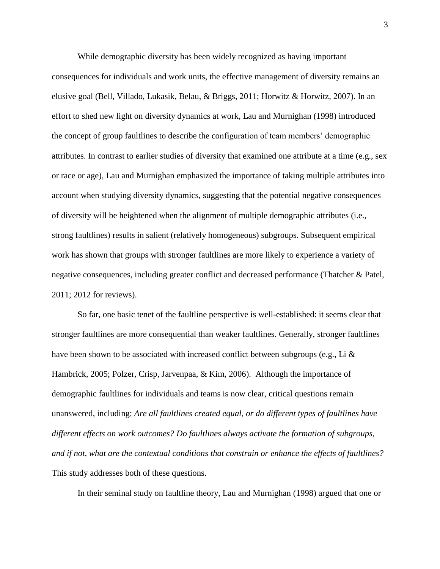While demographic diversity has been widely recognized as having important consequences for individuals and work units, the effective management of diversity remains an elusive goal (Bell, Villado, Lukasik, Belau, & Briggs, 2011; Horwitz & Horwitz, 2007). In an effort to shed new light on diversity dynamics at work, Lau and Murnighan (1998) introduced the concept of group faultlines to describe the configuration of team members' demographic attributes. In contrast to earlier studies of diversity that examined one attribute at a time (e.g., sex or race or age), Lau and Murnighan emphasized the importance of taking multiple attributes into account when studying diversity dynamics, suggesting that the potential negative consequences of diversity will be heightened when the alignment of multiple demographic attributes (i.e., strong faultlines) results in salient (relatively homogeneous) subgroups. Subsequent empirical work has shown that groups with stronger faultlines are more likely to experience a variety of negative consequences, including greater conflict and decreased performance (Thatcher & Patel, 2011; 2012 for reviews).

So far, one basic tenet of the faultline perspective is well-established: it seems clear that stronger faultlines are more consequential than weaker faultlines. Generally, stronger faultlines have been shown to be associated with increased conflict between subgroups (e.g., Li  $\&$ Hambrick, 2005; Polzer, Crisp, Jarvenpaa, & Kim, 2006). Although the importance of demographic faultlines for individuals and teams is now clear, critical questions remain unanswered, including: *Are all faultlines created equal, or do different types of faultlines have different effects on work outcomes? Do faultlines always activate the formation of subgroups, and if not, what are the contextual conditions that constrain or enhance the effects of faultlines?* This study addresses both of these questions.

In their seminal study on faultline theory, Lau and Murnighan (1998) argued that one or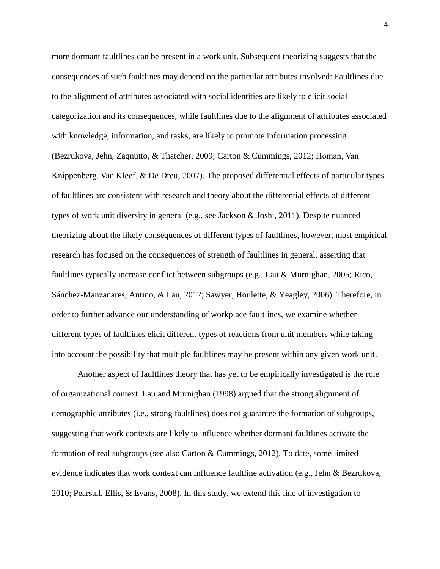more dormant faultlines can be present in a work unit. Subsequent theorizing suggests that the consequences of such faultlines may depend on the particular attributes involved: Faultlines due to the alignment of attributes associated with social identities are likely to elicit social categorization and its consequences, while faultlines due to the alignment of attributes associated with knowledge, information, and tasks, are likely to promote information processing (Bezrukova, Jehn, Zaqnutto, & Thatcher, 2009; Carton & Cummings, 2012; Homan, Van Knippenberg, Van Kleef, & De Dreu, 2007). The proposed differential effects of particular types of faultlines are consistent with research and theory about the differential effects of different types of work unit diversity in general (e.g., see Jackson & Joshi, 2011). Despite nuanced theorizing about the likely consequences of different types of faultlines, however, most empirical research has focused on the consequences of strength of faultlines in general, asserting that faultlines typically increase conflict between subgroups (e.g., Lau & Murnighan, 2005; Rico, Sánchez-Manzanares, Antino, & Lau, 2012; Sawyer, Houlette, & Yeagley, 2006). Therefore, in order to further advance our understanding of workplace faultlines, we examine whether different types of faultlines elicit different types of reactions from unit members while taking into account the possibility that multiple faultlines may be present within any given work unit.

Another aspect of faultlines theory that has yet to be empirically investigated is the role of organizational context. Lau and Murnighan (1998) argued that the strong alignment of demographic attributes (i.e., strong faultlines) does not guarantee the formation of subgroups, suggesting that work contexts are likely to influence whether dormant faultlines activate the formation of real subgroups (see also Carton & Cummings, 2012). To date, some limited evidence indicates that work context can influence faultline activation (e.g., Jehn & Bezrukova, 2010; Pearsall, Ellis, & Evans, 2008). In this study, we extend this line of investigation to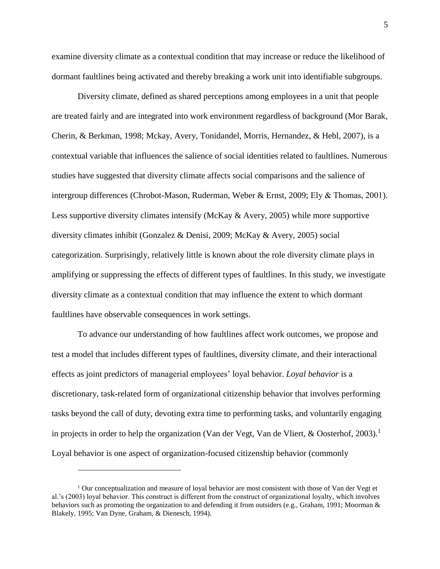examine diversity climate as a contextual condition that may increase or reduce the likelihood of dormant faultlines being activated and thereby breaking a work unit into identifiable subgroups.

Diversity climate, defined as shared perceptions among employees in a unit that people are treated fairly and are integrated into work environment regardless of background (Mor Barak, Cherin, & Berkman, 1998; Mckay, Avery, Tonidandel, Morris, Hernandez, & Hebl, 2007), is a contextual variable that influences the salience of social identities related to faultlines. Numerous studies have suggested that diversity climate affects social comparisons and the salience of intergroup differences (Chrobot-Mason, Ruderman, Weber & Ernst, 2009; Ely & Thomas, 2001). Less supportive diversity climates intensify (McKay & Avery, 2005) while more supportive diversity climates inhibit (Gonzalez & Denisi, 2009; McKay & Avery, 2005) social categorization. Surprisingly, relatively little is known about the role diversity climate plays in amplifying or suppressing the effects of different types of faultlines. In this study, we investigate diversity climate as a contextual condition that may influence the extent to which dormant faultlines have observable consequences in work settings.

To advance our understanding of how faultlines affect work outcomes, we propose and test a model that includes different types of faultlines, diversity climate, and their interactional effects as joint predictors of managerial employees' loyal behavior. *Loyal behavior* is a discretionary, task-related form of organizational citizenship behavior that involves performing tasks beyond the call of duty, devoting extra time to performing tasks, and voluntarily engaging in projects in order to help the organization (Van der Vegt, Van de Vliert, & Oosterhof, 2003).<sup>1</sup> Loyal behavior is one aspect of organization-focused citizenship behavior (commonly

 $\overline{a}$ 

 $1$  Our conceptualization and measure of loyal behavior are most consistent with those of Van der Vegt et al.'s (2003) loyal behavior. This construct is different from the construct of organizational loyalty, which involves behaviors such as promoting the organization to and defending it from outsiders (e.g., Graham, 1991; Moorman & Blakely, 1995; Van Dyne, Graham, & Dienesch, 1994).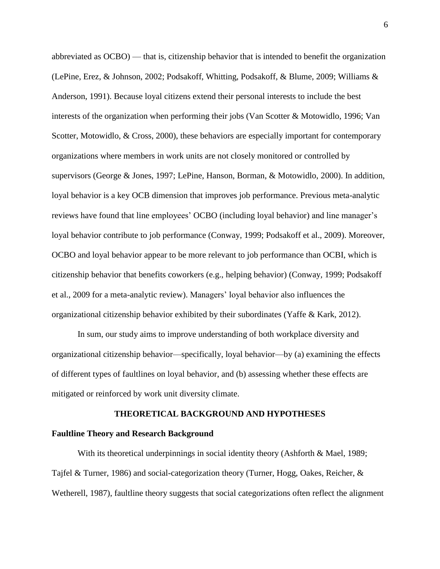abbreviated as OCBO) — that is, citizenship behavior that is intended to benefit the organization (LePine, Erez, & Johnson, 2002; Podsakoff, Whitting, Podsakoff, & Blume, 2009; Williams & Anderson, 1991). Because loyal citizens extend their personal interests to include the best interests of the organization when performing their jobs (Van Scotter & Motowidlo, 1996; Van Scotter, Motowidlo, & Cross, 2000), these behaviors are especially important for contemporary organizations where members in work units are not closely monitored or controlled by supervisors (George & Jones, 1997; LePine, Hanson, Borman, & Motowidlo, 2000). In addition, loyal behavior is a key OCB dimension that improves job performance. Previous meta-analytic reviews have found that line employees' OCBO (including loyal behavior) and line manager's loyal behavior contribute to job performance (Conway*,* 1999; Podsakoff et al., 2009). Moreover, OCBO and loyal behavior appear to be more relevant to job performance than OCBI, which is citizenship behavior that benefits coworkers (e.g., helping behavior) (Conway*,* 1999; Podsakoff et al., 2009 for a meta-analytic review). Managers' loyal behavior also influences the organizational citizenship behavior exhibited by their subordinates (Yaffe & Kark, 2012).

In sum, our study aims to improve understanding of both workplace diversity and organizational citizenship behavior—specifically, loyal behavior—by (a) examining the effects of different types of faultlines on loyal behavior, and (b) assessing whether these effects are mitigated or reinforced by work unit diversity climate.

#### **THEORETICAL BACKGROUND AND HYPOTHESES**

#### **Faultline Theory and Research Background**

With its theoretical underpinnings in social identity theory (Ashforth & Mael, 1989; Tajfel & Turner, 1986) and social-categorization theory (Turner, Hogg, Oakes, Reicher, & Wetherell, 1987), faultline theory suggests that social categorizations often reflect the alignment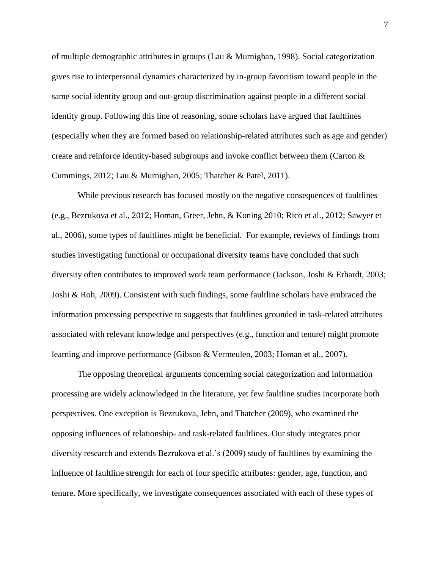of multiple demographic attributes in groups (Lau & Murnighan, 1998). Social categorization gives rise to interpersonal dynamics characterized by in-group favoritism toward people in the same social identity group and out-group discrimination against people in a different social identity group. Following this line of reasoning, some scholars have argued that faultlines (especially when they are formed based on relationship-related attributes such as age and gender) create and reinforce identity-based subgroups and invoke conflict between them (Carton & Cummings, 2012; Lau & Murnighan, 2005; Thatcher & Patel, 2011).

While previous research has focused mostly on the negative consequences of faultlines (e.g., Bezrukova et al., 2012; Homan, Greer, Jehn, & Koning 2010; Rico et al., 2012; Sawyer et al., 2006), some types of faultlines might be beneficial. For example, reviews of findings from studies investigating functional or occupational diversity teams have concluded that such diversity often contributes to improved work team performance (Jackson, Joshi & Erhardt, 2003; Joshi & Roh, 2009). Consistent with such findings, some faultline scholars have embraced the information processing perspective to suggests that faultlines grounded in task-related attributes associated with relevant knowledge and perspectives (e.g., function and tenure) might promote learning and improve performance (Gibson & Vermeulen, 2003; Homan et al., 2007).

The opposing theoretical arguments concerning social categorization and information processing are widely acknowledged in the literature, yet few faultline studies incorporate both perspectives. One exception is Bezrukova, Jehn, and Thatcher (2009), who examined the opposing influences of relationship- and task-related faultlines. Our study integrates prior diversity research and extends Bezrukova et al.'s (2009) study of faultlines by examining the influence of faultline strength for each of four specific attributes: gender, age, function, and tenure. More specifically, we investigate consequences associated with each of these types of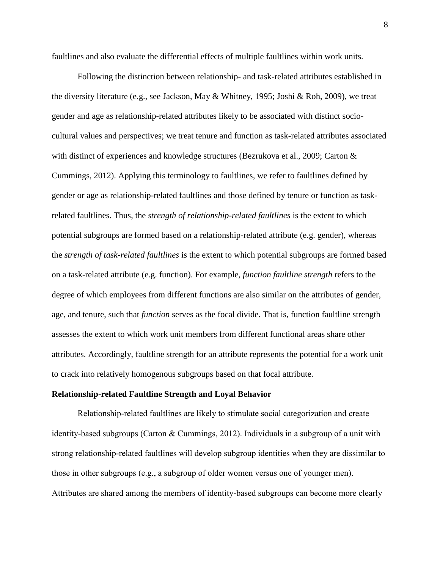faultlines and also evaluate the differential effects of multiple faultlines within work units.

Following the distinction between relationship- and task-related attributes established in the diversity literature (e.g., see Jackson, May & Whitney, 1995; Joshi & Roh, 2009), we treat gender and age as relationship-related attributes likely to be associated with distinct sociocultural values and perspectives; we treat tenure and function as task-related attributes associated with distinct of experiences and knowledge structures (Bezrukova et al., 2009; Carton & Cummings, 2012). Applying this terminology to faultlines, we refer to faultlines defined by gender or age as relationship-related faultlines and those defined by tenure or function as taskrelated faultlines. Thus, the *strength of relationship-related faultlines* is the extent to which potential subgroups are formed based on a relationship-related attribute (e.g. gender), whereas the *strength of task-related faultlines* is the extent to which potential subgroups are formed based on a task-related attribute (e.g. function). For example, *function faultline strength* refers to the degree of which employees from different functions are also similar on the attributes of gender, age, and tenure, such that *function* serves as the focal divide. That is, function faultline strength assesses the extent to which work unit members from different functional areas share other attributes. Accordingly, faultline strength for an attribute represents the potential for a work unit to crack into relatively homogenous subgroups based on that focal attribute.

#### **Relationship-related Faultline Strength and Loyal Behavior**

Relationship-related faultlines are likely to stimulate social categorization and create identity-based subgroups (Carton & Cummings, 2012). Individuals in a subgroup of a unit with strong relationship-related faultlines will develop subgroup identities when they are dissimilar to those in other subgroups (e.g., a subgroup of older women versus one of younger men). Attributes are shared among the members of identity-based subgroups can become more clearly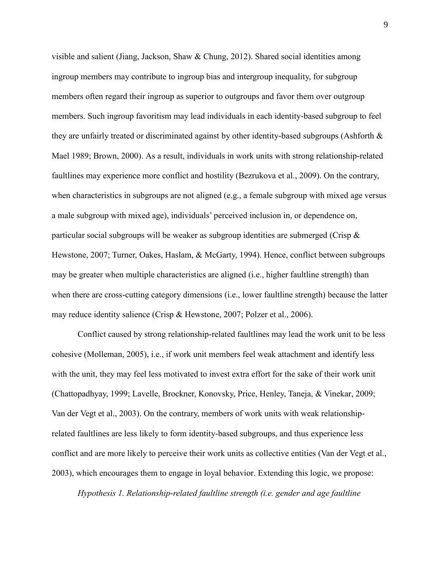visible and salient (Jiang, Jackson, Shaw & Chung, 2012). Shared social identities among ingroup members may contribute to ingroup bias and intergroup inequality, for subgroup members often regard their ingroup as superior to outgroups and favor them over outgroup members. Such ingroup favoritism may lead individuals in each identity-based subgroup to feel they are unfairly treated or discriminated against by other identity-based subgroups (Ashforth  $\&$ Mael 1989; Brown, 2000). As a result, individuals in work units with strong relationship-related faultlines may experience more conflict and hostility (Bezrukova et al., 2009). On the contrary, when characteristics in subgroups are not aligned (e.g., a female subgroup with mixed age versus a male subgroup with mixed age), individuals' perceived inclusion in, or dependence on, particular social subgroups will be weaker as subgroup identities are submerged (Crisp  $\&$ Hewstone, 2007; Turner, Oakes, Haslam, & McGarty, 1994). Hence, conflict between subgroups may be greater when multiple characteristics are aligned (i.e., higher faultline strength) than when there are cross-cutting category dimensions (i.e., lower faultline strength) because the latter may reduce identity salience (Crisp & Hewstone, 2007; Polzer et al., 2006).

Conflict caused by strong relationship-related faultlines may lead the work unit to be less cohesive (Molleman, 2005), i.e., if work unit members feel weak attachment and identify less with the unit, they may feel less motivated to invest extra effort for the sake of their work unit (Chattopadhyay, 1999; Lavelle, Brockner, Konovsky, Price, Henley, Taneja, & Vinekar, 2009; Van der Vegt et al., 2003). On the contrary, members of work units with weak relationshiprelated faultlines are less likely to form identity-based subgroups, and thus experience less conflict and are more likely to perceive their work units as collective entities (Van der Vegt et al., 2003), which encourages them to engage in loyal behavior. Extending this logic, we propose:

*Hypothesis 1. Relationship-related faultline strength (i.e. gender and age faultline*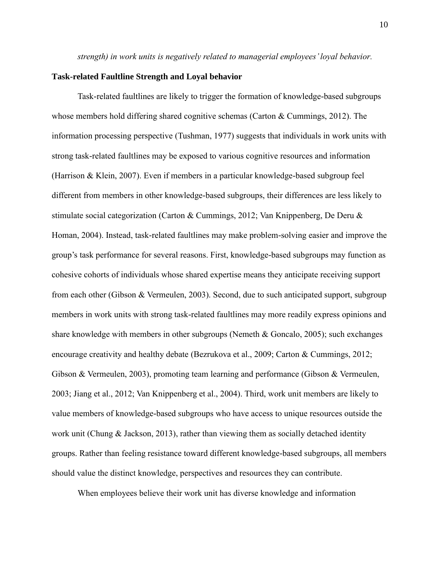*strength) in work units is negatively related to managerial employees'loyal behavior.* 

### **Task-related Faultline Strength and Loyal behavior**

Task-related faultlines are likely to trigger the formation of knowledge-based subgroups whose members hold differing shared cognitive schemas (Carton & Cummings, 2012). The information processing perspective (Tushman, 1977) suggests that individuals in work units with strong task-related faultlines may be exposed to various cognitive resources and information (Harrison & Klein, 2007). Even if members in a particular knowledge-based subgroup feel different from members in other knowledge-based subgroups, their differences are less likely to stimulate social categorization (Carton & Cummings, 2012; Van Knippenberg, De Deru & Homan, 2004). Instead, task-related faultlines may make problem-solving easier and improve the group's task performance for several reasons. First, knowledge-based subgroups may function as cohesive cohorts of individuals whose shared expertise means they anticipate receiving support from each other (Gibson & Vermeulen, 2003). Second, due to such anticipated support, subgroup members in work units with strong task-related faultlines may more readily express opinions and share knowledge with members in other subgroups (Nemeth & Goncalo, 2005); such exchanges encourage creativity and healthy debate (Bezrukova et al., 2009; Carton & Cummings, 2012; Gibson & Vermeulen, 2003), promoting team learning and performance (Gibson & Vermeulen, 2003; Jiang et al., 2012; Van Knippenberg et al., 2004). Third, work unit members are likely to value members of knowledge-based subgroups who have access to unique resources outside the work unit (Chung & Jackson, 2013), rather than viewing them as socially detached identity groups. Rather than feeling resistance toward different knowledge-based subgroups, all members should value the distinct knowledge, perspectives and resources they can contribute.

When employees believe their work unit has diverse knowledge and information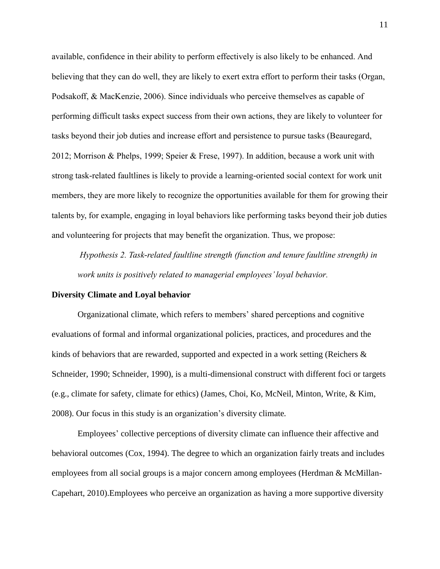available, confidence in their ability to perform effectively is also likely to be enhanced. And believing that they can do well, they are likely to exert extra effort to perform their tasks (Organ, Podsakoff, & MacKenzie, 2006). Since individuals who perceive themselves as capable of performing difficult tasks expect success from their own actions, they are likely to volunteer for tasks beyond their job duties and increase effort and persistence to pursue tasks (Beauregard, 2012; Morrison & Phelps, 1999; Speier & Frese, 1997). In addition, because a work unit with strong task-related faultlines is likely to provide a learning-oriented social context for work unit members, they are more likely to recognize the opportunities available for them for growing their talents by, for example, engaging in loyal behaviors like performing tasks beyond their job duties and volunteering for projects that may benefit the organization. Thus, we propose:

*Hypothesis 2. Task-related faultline strength (function and tenure faultline strength) in work units is positively related to managerial employees'loyal behavior.* 

#### **Diversity Climate and Loyal behavior**

Organizational climate, which refers to members' shared perceptions and cognitive evaluations of formal and informal organizational policies, practices, and procedures and the kinds of behaviors that are rewarded, supported and expected in a work setting (Reichers & Schneider, 1990; Schneider, 1990), is a multi-dimensional construct with different foci or targets (e.g., climate for safety, climate for ethics) (James, Choi, Ko, McNeil, Minton, Write, & Kim, 2008). Our focus in this study is an organization's diversity climate*.*

Employees' collective perceptions of diversity climate can influence their affective and behavioral outcomes (Cox, 1994). The degree to which an organization fairly treats and includes employees from all social groups is a major concern among employees (Herdman & McMillan-Capehart, 2010).Employees who perceive an organization as having a more supportive diversity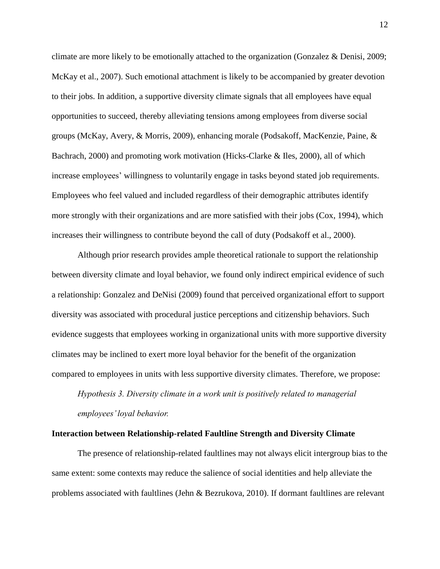climate are more likely to be emotionally attached to the organization (Gonzalez & Denisi, 2009; McKay et al., 2007). Such emotional attachment is likely to be accompanied by greater devotion to their jobs. In addition, a supportive diversity climate signals that all employees have equal opportunities to succeed, thereby alleviating tensions among employees from diverse social groups (McKay, Avery, & Morris, 2009), enhancing morale (Podsakoff, MacKenzie, Paine, & Bachrach, 2000) and promoting work motivation (Hicks-Clarke & Iles, 2000), all of which increase employees' willingness to voluntarily engage in tasks beyond stated job requirements. Employees who feel valued and included regardless of their demographic attributes identify more strongly with their organizations and are more satisfied with their jobs (Cox, 1994), which increases their willingness to contribute beyond the call of duty (Podsakoff et al., 2000).

Although prior research provides ample theoretical rationale to support the relationship between diversity climate and loyal behavior, we found only indirect empirical evidence of such a relationship: Gonzalez and DeNisi (2009) found that perceived organizational effort to support diversity was associated with procedural justice perceptions and citizenship behaviors. Such evidence suggests that employees working in organizational units with more supportive diversity climates may be inclined to exert more loyal behavior for the benefit of the organization compared to employees in units with less supportive diversity climates. Therefore, we propose:

*Hypothesis 3. Diversity climate in a work unit is positively related to managerial employees'loyal behavior.* 

#### **Interaction between Relationship-related Faultline Strength and Diversity Climate**

The presence of relationship-related faultlines may not always elicit intergroup bias to the same extent: some contexts may reduce the salience of social identities and help alleviate the problems associated with faultlines (Jehn & Bezrukova, 2010). If dormant faultlines are relevant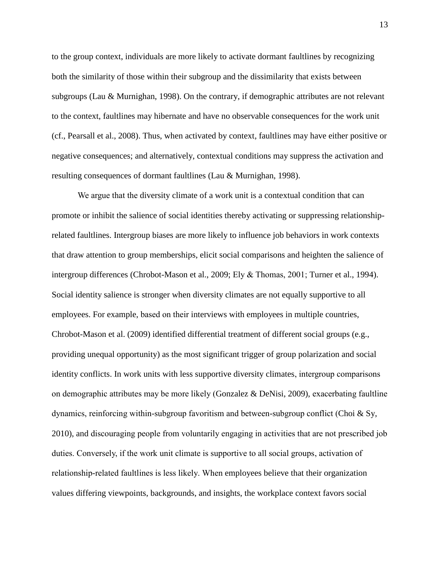to the group context, individuals are more likely to activate dormant faultlines by recognizing both the similarity of those within their subgroup and the dissimilarity that exists between subgroups (Lau & Murnighan, 1998). On the contrary, if demographic attributes are not relevant to the context, faultlines may hibernate and have no observable consequences for the work unit (cf., Pearsall et al., 2008). Thus, when activated by context, faultlines may have either positive or negative consequences; and alternatively, contextual conditions may suppress the activation and resulting consequences of dormant faultlines (Lau & Murnighan, 1998).

We argue that the diversity climate of a work unit is a contextual condition that can promote or inhibit the salience of social identities thereby activating or suppressing relationshiprelated faultlines. Intergroup biases are more likely to influence job behaviors in work contexts that draw attention to group memberships, elicit social comparisons and heighten the salience of intergroup differences (Chrobot-Mason et al., 2009; Ely & Thomas, 2001; Turner et al., 1994). Social identity salience is stronger when diversity climates are not equally supportive to all employees. For example, based on their interviews with employees in multiple countries, Chrobot-Mason et al. (2009) identified differential treatment of different social groups (e.g., providing unequal opportunity) as the most significant trigger of group polarization and social identity conflicts. In work units with less supportive diversity climates, intergroup comparisons on demographic attributes may be more likely (Gonzalez & DeNisi, 2009), exacerbating faultline dynamics, reinforcing within-subgroup favoritism and between-subgroup conflict (Choi & Sy, 2010), and discouraging people from voluntarily engaging in activities that are not prescribed job duties. Conversely, if the work unit climate is supportive to all social groups, activation of relationship-related faultlines is less likely. When employees believe that their organization values differing viewpoints, backgrounds, and insights, the workplace context favors social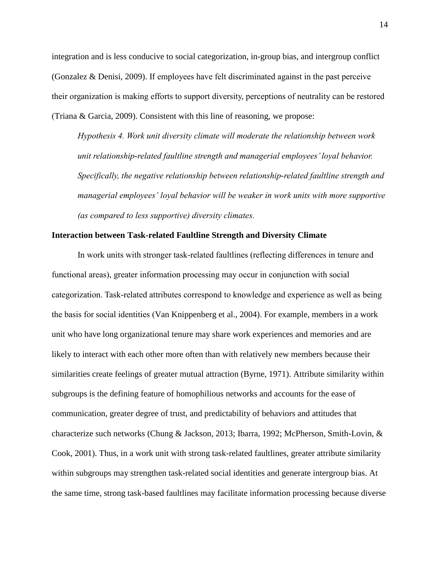integration and is less conducive to social categorization, in-group bias, and intergroup conflict (Gonzalez & Denisi, 2009). If employees have felt discriminated against in the past perceive their organization is making efforts to support diversity, perceptions of neutrality can be restored (Triana & Garcia, 2009). Consistent with this line of reasoning, we propose:

*Hypothesis 4. Work unit diversity climate will moderate the relationship between work unit relationship-related faultline strength and managerial employees'loyal behavior. Specifically, the negative relationship between relationship-related faultline strength and managerial employees' loyal behavior will be weaker in work units with more supportive (as compared to less supportive) diversity climates.* 

#### **Interaction between Task-related Faultline Strength and Diversity Climate**

In work units with stronger task-related faultlines (reflecting differences in tenure and functional areas), greater information processing may occur in conjunction with social categorization. Task-related attributes correspond to knowledge and experience as well as being the basis for social identities (Van Knippenberg et al., 2004). For example, members in a work unit who have long organizational tenure may share work experiences and memories and are likely to interact with each other more often than with relatively new members because their similarities create feelings of greater mutual attraction (Byrne, 1971). Attribute similarity within subgroups is the defining feature of homophilious networks and accounts for the ease of communication, greater degree of trust, and predictability of behaviors and attitudes that characterize such networks (Chung & Jackson, 2013; Ibarra, 1992; McPherson, Smith-Lovin, & Cook, 2001). Thus, in a work unit with strong task-related faultlines, greater attribute similarity within subgroups may strengthen task-related social identities and generate intergroup bias. At the same time, strong task-based faultlines may facilitate information processing because diverse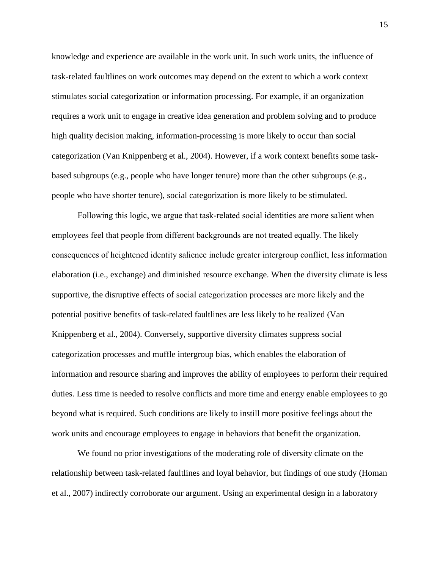knowledge and experience are available in the work unit. In such work units, the influence of task-related faultlines on work outcomes may depend on the extent to which a work context stimulates social categorization or information processing. For example, if an organization requires a work unit to engage in creative idea generation and problem solving and to produce high quality decision making, information-processing is more likely to occur than social categorization (Van Knippenberg et al., 2004). However, if a work context benefits some taskbased subgroups (e.g., people who have longer tenure) more than the other subgroups (e.g., people who have shorter tenure), social categorization is more likely to be stimulated.

Following this logic, we argue that task-related social identities are more salient when employees feel that people from different backgrounds are not treated equally. The likely consequences of heightened identity salience include greater intergroup conflict, less information elaboration (i.e., exchange) and diminished resource exchange. When the diversity climate is less supportive, the disruptive effects of social categorization processes are more likely and the potential positive benefits of task-related faultlines are less likely to be realized (Van Knippenberg et al., 2004). Conversely, supportive diversity climates suppress social categorization processes and muffle intergroup bias, which enables the elaboration of information and resource sharing and improves the ability of employees to perform their required duties. Less time is needed to resolve conflicts and more time and energy enable employees to go beyond what is required. Such conditions are likely to instill more positive feelings about the work units and encourage employees to engage in behaviors that benefit the organization.

We found no prior investigations of the moderating role of diversity climate on the relationship between task-related faultlines and loyal behavior, but findings of one study (Homan et al., 2007) indirectly corroborate our argument. Using an experimental design in a laboratory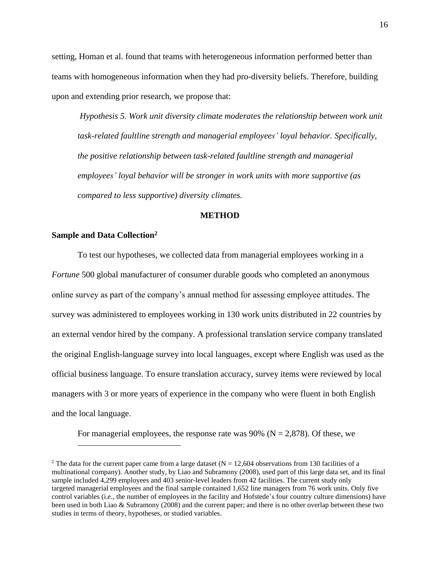setting, Homan et al. found that teams with heterogeneous information performed better than teams with homogeneous information when they had pro-diversity beliefs. Therefore, building upon and extending prior research, we propose that:

*Hypothesis 5. Work unit diversity climate moderates the relationship between work unit task-related faultline strength and managerial employees' loyal behavior. Specifically, the positive relationship between task-related faultline strength and managerial employees' loyal behavior will be stronger in work units with more supportive (as compared to less supportive) diversity climates.* 

#### **METHOD**

### **Sample and Data Collection<sup>2</sup>**

 $\overline{a}$ 

To test our hypotheses, we collected data from managerial employees working in a *Fortune* 500 global manufacturer of consumer durable goods who completed an anonymous online survey as part of the company's annual method for assessing employee attitudes. The survey was administered to employees working in 130 work units distributed in 22 countries by an external vendor hired by the company. A professional translation service company translated the original English-language survey into local languages, except where English was used as the official business language. To ensure translation accuracy, survey items were reviewed by local managers with 3 or more years of experience in the company who were fluent in both English and the local language.

For managerial employees, the response rate was  $90\%$  (N = 2,878). Of these, we

<sup>&</sup>lt;sup>2</sup> The data for the current paper came from a large dataset ( $N = 12,604$  observations from 130 facilities of a multinational company). Another study, by Liao and Subramony (2008), used part of this large data set, and its final sample included 4,299 employees and 403 senior-level leaders from 42 facilities. The current study only targeted managerial employees and the final sample contained 1,652 line managers from 76 work units. Only five control variables (i.e., the number of employees in the facility and Hofstede's four country culture dimensions) have been used in both Liao & Subramony (2008) and the current paper; and there is no other overlap between these two studies in terms of theory, hypotheses, or studied variables.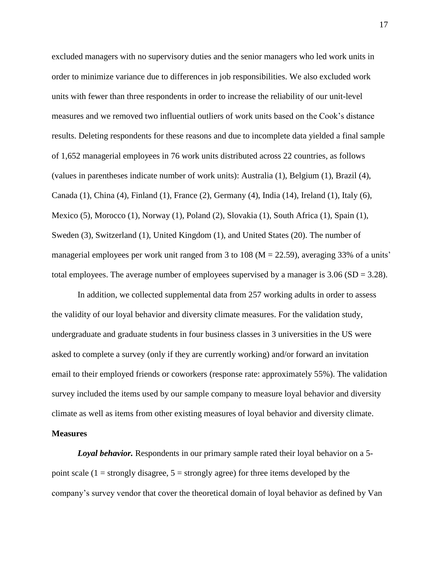excluded managers with no supervisory duties and the senior managers who led work units in order to minimize variance due to differences in job responsibilities. We also excluded work units with fewer than three respondents in order to increase the reliability of our unit-level measures and we removed two influential outliers of work units based on the Cook's distance results. Deleting respondents for these reasons and due to incomplete data yielded a final sample of 1,652 managerial employees in 76 work units distributed across 22 countries, as follows (values in parentheses indicate number of work units): Australia (1), Belgium (1), Brazil (4), Canada (1), China (4), Finland (1), France (2), Germany (4), India (14), Ireland (1), Italy (6), Mexico (5), Morocco (1), Norway (1), Poland (2), Slovakia (1), South Africa (1), Spain (1), Sweden (3), Switzerland (1), United Kingdom (1), and United States (20). The number of managerial employees per work unit ranged from 3 to 108 ( $M = 22.59$ ), averaging 33% of a units' total employees. The average number of employees supervised by a manager is  $3.06$  (SD =  $3.28$ ).

In addition, we collected supplemental data from 257 working adults in order to assess the validity of our loyal behavior and diversity climate measures. For the validation study, undergraduate and graduate students in four business classes in 3 universities in the US were asked to complete a survey (only if they are currently working) and/or forward an invitation email to their employed friends or coworkers (response rate: approximately 55%). The validation survey included the items used by our sample company to measure loyal behavior and diversity climate as well as items from other existing measures of loyal behavior and diversity climate.

## **Measures**

*Loyal behavior.* Respondents in our primary sample rated their loyal behavior on a 5 point scale  $(1 =$  strongly disagree,  $5 =$  strongly agree) for three items developed by the company's survey vendor that cover the theoretical domain of loyal behavior as defined by Van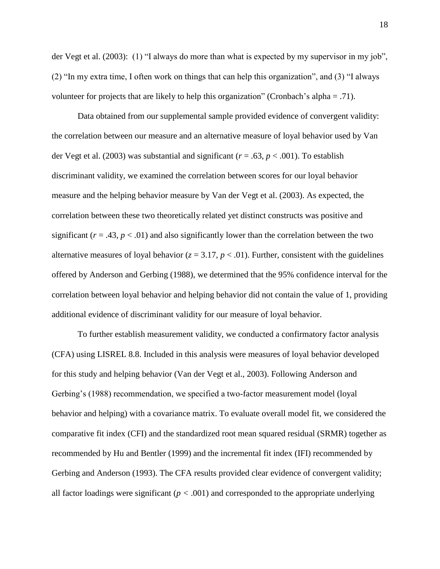der Vegt et al. (2003): (1) "I always do more than what is expected by my supervisor in my job", (2) "In my extra time, I often work on things that can help this organization", and (3) "I always volunteer for projects that are likely to help this organization" (Cronbach's alpha = .71).

Data obtained from our supplemental sample provided evidence of convergent validity: the correlation between our measure and an alternative measure of loyal behavior used by Van der Vegt et al. (2003) was substantial and significant (*r* = .63, *p* < .001). To establish discriminant validity, we examined the correlation between scores for our loyal behavior measure and the helping behavior measure by Van der Vegt et al. (2003). As expected, the correlation between these two theoretically related yet distinct constructs was positive and significant  $(r = .43, p < .01)$  and also significantly lower than the correlation between the two alternative measures of loyal behavior  $(z = 3.17, p < .01)$ . Further, consistent with the guidelines offered by Anderson and Gerbing (1988), we determined that the 95% confidence interval for the correlation between loyal behavior and helping behavior did not contain the value of 1, providing additional evidence of discriminant validity for our measure of loyal behavior.

To further establish measurement validity, we conducted a confirmatory factor analysis (CFA) using LISREL 8.8. Included in this analysis were measures of loyal behavior developed for this study and helping behavior (Van der Vegt et al., 2003). Following Anderson and Gerbing's (1988) recommendation, we specified a two-factor measurement model (loyal behavior and helping) with a covariance matrix. To evaluate overall model fit, we considered the comparative fit index (CFI) and the standardized root mean squared residual (SRMR) together as recommended by Hu and Bentler (1999) and the incremental fit index (IFI) recommended by Gerbing and Anderson (1993). The CFA results provided clear evidence of convergent validity; all factor loadings were significant ( $p < .001$ ) and corresponded to the appropriate underlying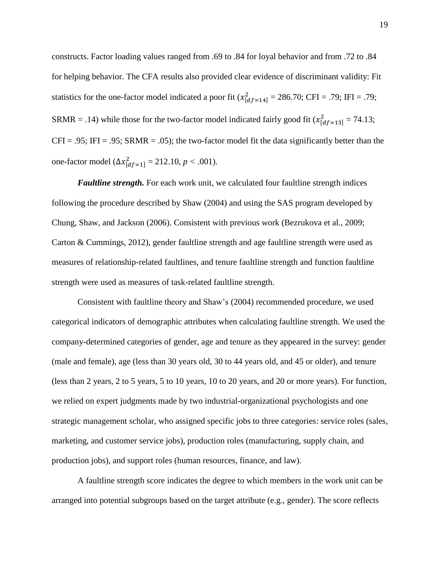constructs. Factor loading values ranged from .69 to .84 for loyal behavior and from .72 to .84 for helping behavior. The CFA results also provided clear evidence of discriminant validity: Fit statistics for the one-factor model indicated a poor fit  $(x_{[df=14]}^2 = 286.70; CFI = .79; IFI = .79;$ SRMR = .14) while those for the two-factor model indicated fairly good fit  $(x_{[df=13]}^2 = 74.13;$  $CFI = .95$ ; IFI = .95; SRMR = .05); the two-factor model fit the data significantly better than the one-factor model  $(\Delta x_{[df=1]}^2 = 212.10, p < .001)$ .

*Faultline strength.* For each work unit, we calculated four faultline strength indices following the procedure described by Shaw (2004) and using the SAS program developed by Chung, Shaw, and Jackson (2006). Consistent with previous work (Bezrukova et al., 2009; Carton & Cummings, 2012), gender faultline strength and age faultline strength were used as measures of relationship-related faultlines, and tenure faultline strength and function faultline strength were used as measures of task-related faultline strength.

Consistent with faultline theory and Shaw's (2004) recommended procedure, we used categorical indicators of demographic attributes when calculating faultline strength. We used the company-determined categories of gender, age and tenure as they appeared in the survey: gender (male and female), age (less than 30 years old, 30 to 44 years old, and 45 or older), and tenure (less than 2 years, 2 to 5 years, 5 to 10 years, 10 to 20 years, and 20 or more years). For function, we relied on expert judgments made by two industrial-organizational psychologists and one strategic management scholar, who assigned specific jobs to three categories: service roles (sales, marketing, and customer service jobs), production roles (manufacturing, supply chain, and production jobs), and support roles (human resources, finance, and law).

A faultline strength score indicates the degree to which members in the work unit can be arranged into potential subgroups based on the target attribute (e.g., gender). The score reflects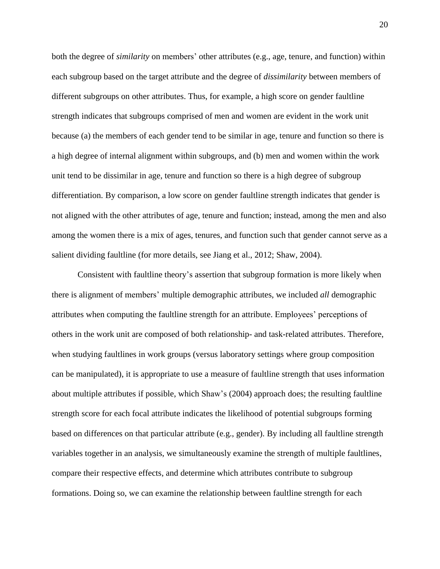both the degree of *similarity* on members' other attributes (e.g., age, tenure, and function) within each subgroup based on the target attribute and the degree of *dissimilarity* between members of different subgroups on other attributes. Thus, for example, a high score on gender faultline strength indicates that subgroups comprised of men and women are evident in the work unit because (a) the members of each gender tend to be similar in age, tenure and function so there is a high degree of internal alignment within subgroups, and (b) men and women within the work unit tend to be dissimilar in age, tenure and function so there is a high degree of subgroup differentiation. By comparison, a low score on gender faultline strength indicates that gender is not aligned with the other attributes of age, tenure and function; instead, among the men and also among the women there is a mix of ages, tenures, and function such that gender cannot serve as a salient dividing faultline (for more details, see Jiang et al., 2012; Shaw, 2004).

Consistent with faultline theory's assertion that subgroup formation is more likely when there is alignment of members' multiple demographic attributes, we included *all* demographic attributes when computing the faultline strength for an attribute. Employees' perceptions of others in the work unit are composed of both relationship- and task-related attributes. Therefore, when studying faultlines in work groups (versus laboratory settings where group composition can be manipulated), it is appropriate to use a measure of faultline strength that uses information about multiple attributes if possible, which Shaw's (2004) approach does; the resulting faultline strength score for each focal attribute indicates the likelihood of potential subgroups forming based on differences on that particular attribute (e.g., gender). By including all faultline strength variables together in an analysis, we simultaneously examine the strength of multiple faultlines, compare their respective effects, and determine which attributes contribute to subgroup formations. Doing so, we can examine the relationship between faultline strength for each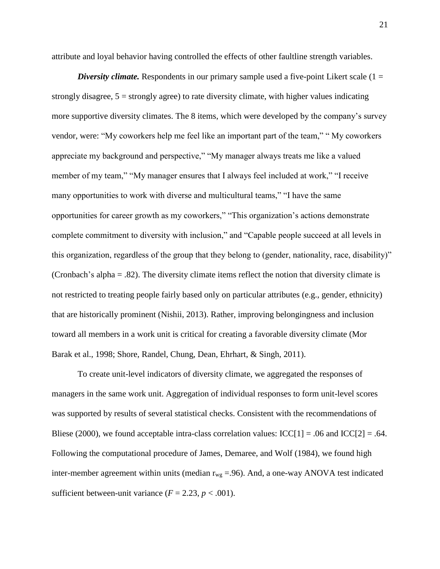attribute and loyal behavior having controlled the effects of other faultline strength variables.

*Diversity climate.* Respondents in our primary sample used a five-point Likert scale (1 = strongly disagree,  $5 =$  strongly agree) to rate diversity climate, with higher values indicating more supportive diversity climates. The 8 items, which were developed by the company's survey vendor, were: "My coworkers help me feel like an important part of the team," " My coworkers appreciate my background and perspective," "My manager always treats me like a valued member of my team," "My manager ensures that I always feel included at work," "I receive many opportunities to work with diverse and multicultural teams," "I have the same opportunities for career growth as my coworkers," "This organization's actions demonstrate complete commitment to diversity with inclusion," and "Capable people succeed at all levels in this organization, regardless of the group that they belong to (gender, nationality, race, disability)" (Cronbach's alpha = .82). The diversity climate items reflect the notion that diversity climate is not restricted to treating people fairly based only on particular attributes (e.g., gender, ethnicity) that are historically prominent (Nishii, 2013). Rather, improving belongingness and inclusion toward all members in a work unit is critical for creating a favorable diversity climate (Mor Barak et al., 1998; Shore, Randel, Chung, Dean, Ehrhart, & Singh, 2011).

To create unit-level indicators of diversity climate, we aggregated the responses of managers in the same work unit. Aggregation of individual responses to form unit-level scores was supported by results of several statistical checks. Consistent with the recommendations of Bliese (2000), we found acceptable intra-class correlation values:  $\text{ICC}[1] = .06$  and  $\text{ICC}[2] = .64$ . Following the computational procedure of James, Demaree, and Wolf (1984), we found high inter-member agreement within units (median  $r_{wg} = .96$ ). And, a one-way ANOVA test indicated sufficient between-unit variance  $(F = 2.23, p < .001)$ .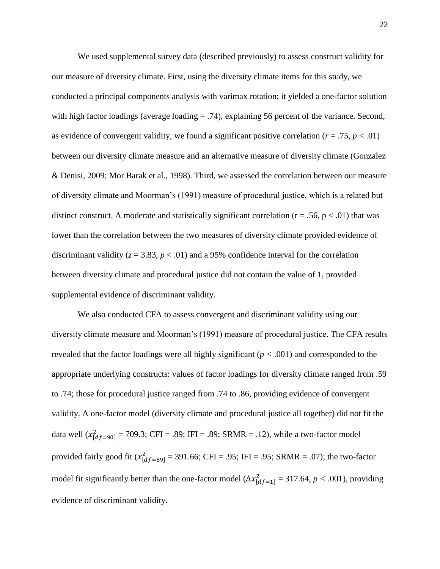We used supplemental survey data (described previously) to assess construct validity for our measure of diversity climate. First, using the diversity climate items for this study, we conducted a principal components analysis with varimax rotation; it yielded a one-factor solution with high factor loadings (average loading  $= .74$ ), explaining 56 percent of the variance. Second, as evidence of convergent validity, we found a significant positive correlation ( $r = .75$ ,  $p < .01$ ) between our diversity climate measure and an alternative measure of diversity climate (Gonzalez & Denisi, 2009; Mor Barak et al., 1998). Third, we assessed the correlation between our measure of diversity climate and Moorman's (1991) measure of procedural justice, which is a related but distinct construct. A moderate and statistically significant correlation ( $r = .56$ ,  $p < .01$ ) that was lower than the correlation between the two measures of diversity climate provided evidence of discriminant validity  $(z = 3.83, p < .01)$  and a 95% confidence interval for the correlation between diversity climate and procedural justice did not contain the value of 1, provided supplemental evidence of discriminant validity.

We also conducted CFA to assess convergent and discriminant validity using our diversity climate measure and Moorman's (1991) measure of procedural justice. The CFA results revealed that the factor loadings were all highly significant (*p <* .001) and corresponded to the appropriate underlying constructs: values of factor loadings for diversity climate ranged from .59 to .74; those for procedural justice ranged from .74 to .86, providing evidence of convergent validity. A one-factor model (diversity climate and procedural justice all together) did not fit the data well  $(x_{[df=90]}^2 = 709.3$ ; CFI = .89; IFI = .89; SRMR = .12), while a two-factor model provided fairly good fit  $(x_{[df=89]}^2 = 391.66$ ; CFI = .95; IFI = .95; SRMR = .07); the two-factor model fit significantly better than the one-factor model ( $\Delta x_{[df=1]}^2$  = 317.64, *p* < .001), providing evidence of discriminant validity.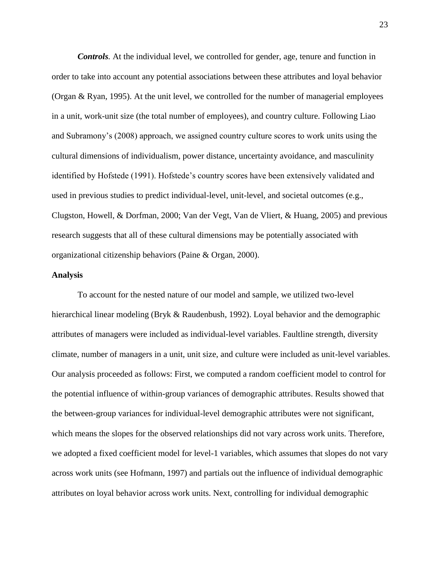*Controls.* At the individual level, we controlled for gender, age, tenure and function in order to take into account any potential associations between these attributes and loyal behavior (Organ & Ryan, 1995). At the unit level, we controlled for the number of managerial employees in a unit, work-unit size (the total number of employees), and country culture. Following Liao and Subramony's (2008) approach, we assigned country culture scores to work units using the cultural dimensions of individualism, power distance, uncertainty avoidance, and masculinity identified by Hofstede (1991). Hofstede's country scores have been extensively validated and used in previous studies to predict individual-level, unit-level, and societal outcomes (e.g., Clugston, Howell, & Dorfman, 2000; Van der Vegt, Van de Vliert, & Huang, 2005) and previous research suggests that all of these cultural dimensions may be potentially associated with organizational citizenship behaviors (Paine & Organ, 2000).

#### **Analysis**

To account for the nested nature of our model and sample, we utilized two-level hierarchical linear modeling (Bryk & Raudenbush, 1992). Loyal behavior and the demographic attributes of managers were included as individual-level variables. Faultline strength, diversity climate, number of managers in a unit, unit size, and culture were included as unit-level variables. Our analysis proceeded as follows: First, we computed a random coefficient model to control for the potential influence of within-group variances of demographic attributes. Results showed that the between-group variances for individual-level demographic attributes were not significant, which means the slopes for the observed relationships did not vary across work units. Therefore, we adopted a fixed coefficient model for level-1 variables, which assumes that slopes do not vary across work units (see Hofmann, 1997) and partials out the influence of individual demographic attributes on loyal behavior across work units. Next, controlling for individual demographic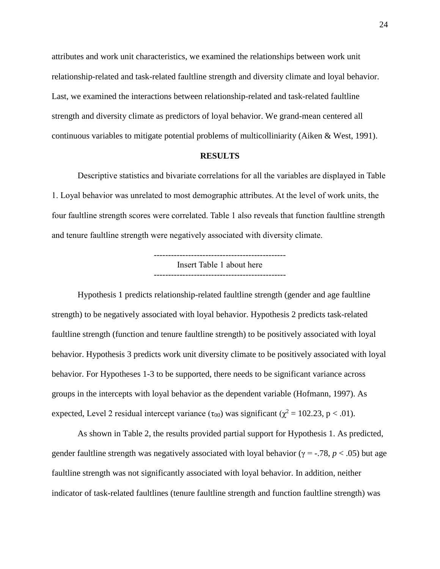attributes and work unit characteristics, we examined the relationships between work unit relationship-related and task-related faultline strength and diversity climate and loyal behavior. Last, we examined the interactions between relationship-related and task-related faultline strength and diversity climate as predictors of loyal behavior. We grand-mean centered all continuous variables to mitigate potential problems of multicolliniarity (Aiken & West, 1991).

#### **RESULTS**

Descriptive statistics and bivariate correlations for all the variables are displayed in Table 1. Loyal behavior was unrelated to most demographic attributes. At the level of work units, the four faultline strength scores were correlated. Table 1 also reveals that function faultline strength and tenure faultline strength were negatively associated with diversity climate.

> ---------------------------------------------- Insert Table 1 about here

Hypothesis 1 predicts relationship-related faultline strength (gender and age faultline strength) to be negatively associated with loyal behavior. Hypothesis 2 predicts task-related faultline strength (function and tenure faultline strength) to be positively associated with loyal behavior. Hypothesis 3 predicts work unit diversity climate to be positively associated with loyal behavior. For Hypotheses 1-3 to be supported, there needs to be significant variance across groups in the intercepts with loyal behavior as the dependent variable (Hofmann, 1997). As expected, Level 2 residual intercept variance (τ<sub>00</sub>) was significant ( $\chi^2 = 102.23$ , p < .01).

As shown in Table 2, the results provided partial support for Hypothesis 1. As predicted, gender faultline strength was negatively associated with loyal behavior (γ = -.78, *p* < .05) but age faultline strength was not significantly associated with loyal behavior. In addition, neither indicator of task-related faultlines (tenure faultline strength and function faultline strength) was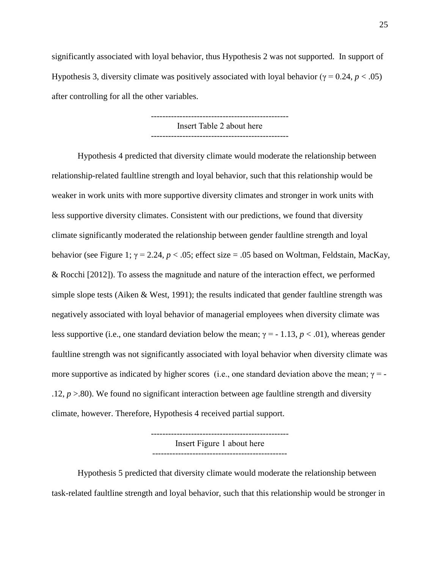significantly associated with loyal behavior, thus Hypothesis 2 was not supported. In support of Hypothesis 3, diversity climate was positively associated with loyal behavior ( $\gamma = 0.24$ ,  $p < .05$ ) after controlling for all the other variables.

> ------------------------------------------------ Insert Table 2 about here ------------------------------------------------

Hypothesis 4 predicted that diversity climate would moderate the relationship between relationship-related faultline strength and loyal behavior, such that this relationship would be weaker in work units with more supportive diversity climates and stronger in work units with less supportive diversity climates. Consistent with our predictions, we found that diversity climate significantly moderated the relationship between gender faultline strength and loyal behavior (see Figure 1; γ = 2.24, *p* < .05; effect size = .05 based on Woltman, Feldstain, MacKay, & Rocchi [2012]). To assess the magnitude and nature of the interaction effect, we performed simple slope tests (Aiken & West, 1991); the results indicated that gender faultline strength was negatively associated with loyal behavior of managerial employees when diversity climate was less supportive (i.e., one standard deviation below the mean; γ = - 1.13, *p* < .01), whereas gender faultline strength was not significantly associated with loyal behavior when diversity climate was more supportive as indicated by higher scores (i.e., one standard deviation above the mean;  $\gamma = -$ .12,  $p > 0.80$ . We found no significant interaction between age faultline strength and diversity climate, however. Therefore, Hypothesis 4 received partial support.

> ------------------------------------------------ Insert Figure 1 about here -----------------------------------------------

Hypothesis 5 predicted that diversity climate would moderate the relationship between task-related faultline strength and loyal behavior, such that this relationship would be stronger in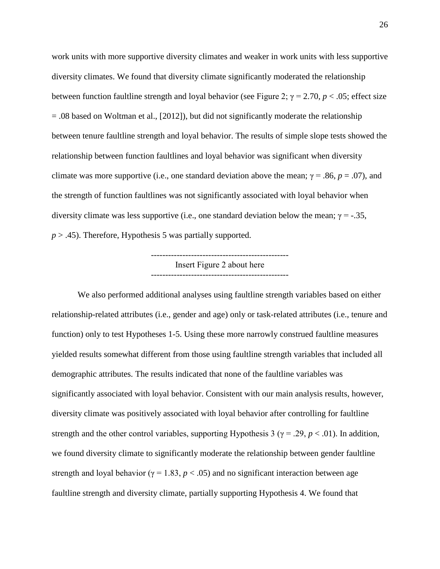work units with more supportive diversity climates and weaker in work units with less supportive diversity climates. We found that diversity climate significantly moderated the relationship between function faultline strength and loyal behavior (see Figure 2;  $\gamma = 2.70$ ,  $p < .05$ ; effect size  $= .08$  based on Woltman et al., [2012]), but did not significantly moderate the relationship between tenure faultline strength and loyal behavior. The results of simple slope tests showed the relationship between function faultlines and loyal behavior was significant when diversity climate was more supportive (i.e., one standard deviation above the mean;  $\gamma = .86$ ,  $p = .07$ ), and the strength of function faultlines was not significantly associated with loyal behavior when diversity climate was less supportive (i.e., one standard deviation below the mean;  $\gamma = -.35$ ,  $p > .45$ ). Therefore, Hypothesis 5 was partially supported.

> ------------------------------------------------ Insert Figure 2 about here ------------------------------------------------

We also performed additional analyses using faultline strength variables based on either relationship-related attributes (i.e., gender and age) only or task-related attributes (i.e., tenure and function) only to test Hypotheses 1-5. Using these more narrowly construed faultline measures yielded results somewhat different from those using faultline strength variables that included all demographic attributes. The results indicated that none of the faultline variables was significantly associated with loyal behavior. Consistent with our main analysis results, however, diversity climate was positively associated with loyal behavior after controlling for faultline strength and the other control variables, supporting Hypothesis 3 ( $\gamma$  = .29,  $p$  < .01). In addition, we found diversity climate to significantly moderate the relationship between gender faultline strength and loyal behavior ( $\gamma = 1.83$ ,  $p < .05$ ) and no significant interaction between age faultline strength and diversity climate, partially supporting Hypothesis 4. We found that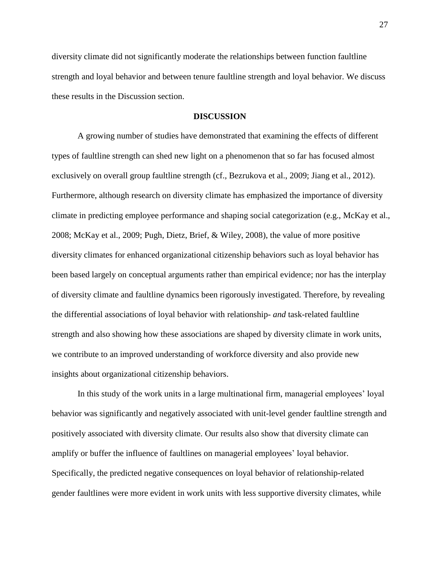diversity climate did not significantly moderate the relationships between function faultline strength and loyal behavior and between tenure faultline strength and loyal behavior. We discuss these results in the Discussion section.

### **DISCUSSION**

A growing number of studies have demonstrated that examining the effects of different types of faultline strength can shed new light on a phenomenon that so far has focused almost exclusively on overall group faultline strength (cf., Bezrukova et al., 2009; Jiang et al., 2012). Furthermore, although research on diversity climate has emphasized the importance of diversity climate in predicting employee performance and shaping social categorization (e.g., McKay et al., 2008; McKay et al., 2009; Pugh, Dietz, Brief, & Wiley, 2008), the value of more positive diversity climates for enhanced organizational citizenship behaviors such as loyal behavior has been based largely on conceptual arguments rather than empirical evidence; nor has the interplay of diversity climate and faultline dynamics been rigorously investigated. Therefore, by revealing the differential associations of loyal behavior with relationship- *and* task-related faultline strength and also showing how these associations are shaped by diversity climate in work units, we contribute to an improved understanding of workforce diversity and also provide new insights about organizational citizenship behaviors.

In this study of the work units in a large multinational firm, managerial employees' loyal behavior was significantly and negatively associated with unit-level gender faultline strength and positively associated with diversity climate. Our results also show that diversity climate can amplify or buffer the influence of faultlines on managerial employees' loyal behavior. Specifically, the predicted negative consequences on loyal behavior of relationship-related gender faultlines were more evident in work units with less supportive diversity climates, while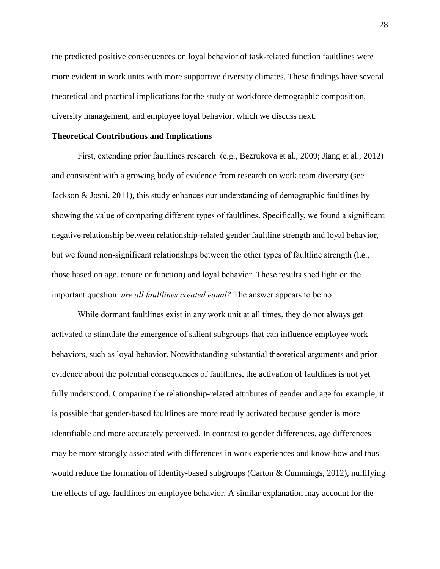the predicted positive consequences on loyal behavior of task-related function faultlines were more evident in work units with more supportive diversity climates. These findings have several theoretical and practical implications for the study of workforce demographic composition, diversity management, and employee loyal behavior, which we discuss next.

#### **Theoretical Contributions and Implications**

First, extending prior faultlines research (e.g., Bezrukova et al., 2009; Jiang et al., 2012) and consistent with a growing body of evidence from research on work team diversity (see Jackson & Joshi, 2011), this study enhances our understanding of demographic faultlines by showing the value of comparing different types of faultlines. Specifically, we found a significant negative relationship between relationship-related gender faultline strength and loyal behavior, but we found non-significant relationships between the other types of faultline strength (i.e., those based on age, tenure or function) and loyal behavior. These results shed light on the important question: *are all faultlines created equal?* The answer appears to be no.

While dormant faultlines exist in any work unit at all times, they do not always get activated to stimulate the emergence of salient subgroups that can influence employee work behaviors, such as loyal behavior. Notwithstanding substantial theoretical arguments and prior evidence about the potential consequences of faultlines, the activation of faultlines is not yet fully understood. Comparing the relationship-related attributes of gender and age for example, it is possible that gender-based faultlines are more readily activated because gender is more identifiable and more accurately perceived. In contrast to gender differences, age differences may be more strongly associated with differences in work experiences and know-how and thus would reduce the formation of identity-based subgroups (Carton & Cummings, 2012), nullifying the effects of age faultlines on employee behavior. A similar explanation may account for the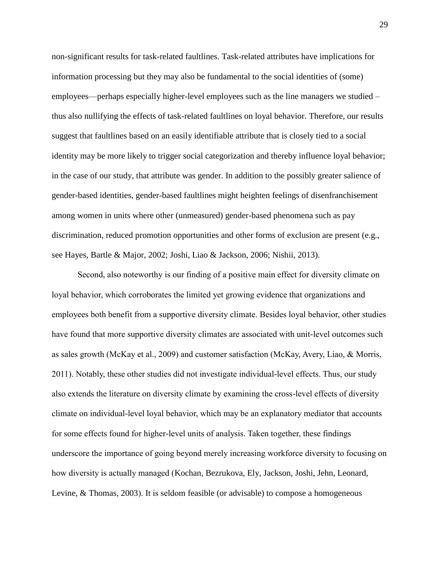non-significant results for task-related faultlines. Task-related attributes have implications for information processing but they may also be fundamental to the social identities of (some) employees—perhaps especially higher-level employees such as the line managers we studied – thus also nullifying the effects of task-related faultlines on loyal behavior. Therefore, our results suggest that faultlines based on an easily identifiable attribute that is closely tied to a social identity may be more likely to trigger social categorization and thereby influence loyal behavior; in the case of our study, that attribute was gender. In addition to the possibly greater salience of gender-based identities, gender-based faultlines might heighten feelings of disenfranchisement among women in units where other (unmeasured) gender-based phenomena such as pay discrimination, reduced promotion opportunities and other forms of exclusion are present (e.g., see Hayes, Bartle & Major, 2002; Joshi, Liao & Jackson, 2006; Nishii, 2013).

Second, also noteworthy is our finding of a positive main effect for diversity climate on loyal behavior, which corroborates the limited yet growing evidence that organizations and employees both benefit from a supportive diversity climate. Besides loyal behavior, other studies have found that more supportive diversity climates are associated with unit-level outcomes such as sales growth (McKay et al., 2009) and customer satisfaction (McKay, Avery, Liao, & Morris, 2011). Notably, these other studies did not investigate individual-level effects. Thus, our study also extends the literature on diversity climate by examining the cross-level effects of diversity climate on individual-level loyal behavior, which may be an explanatory mediator that accounts for some effects found for higher-level units of analysis. Taken together, these findings underscore the importance of going beyond merely increasing workforce diversity to focusing on how diversity is actually managed (Kochan, Bezrukova, Ely, Jackson, Joshi, Jehn, Leonard, Levine, & Thomas, 2003). It is seldom feasible (or advisable) to compose a homogeneous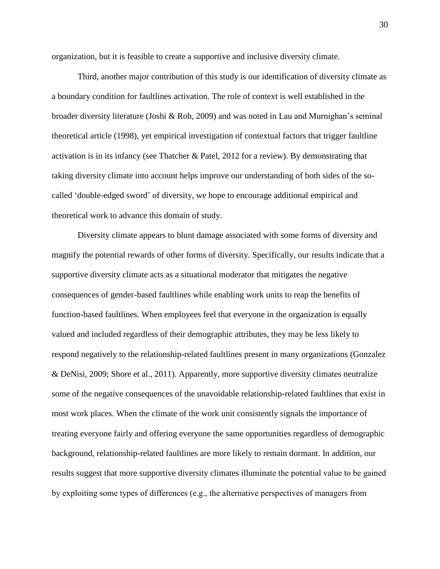organization, but it is feasible to create a supportive and inclusive diversity climate.

Third, another major contribution of this study is our identification of diversity climate as a boundary condition for faultlines activation. The role of context is well established in the broader diversity literature (Joshi & Roh, 2009) and was noted in Lau and Murnighan's seminal theoretical article (1998), yet empirical investigation of contextual factors that trigger faultline activation is in its infancy (see Thatcher & Patel, 2012 for a review). By demonstrating that taking diversity climate into account helps improve our understanding of both sides of the socalled 'double-edged sword' of diversity, we hope to encourage additional empirical and theoretical work to advance this domain of study.

Diversity climate appears to blunt damage associated with some forms of diversity and magnify the potential rewards of other forms of diversity. Specifically, our results indicate that a supportive diversity climate acts as a situational moderator that mitigates the negative consequences of gender-based faultlines while enabling work units to reap the benefits of function-based faultlines. When employees feel that everyone in the organization is equally valued and included regardless of their demographic attributes, they may be less likely to respond negatively to the relationship-related faultlines present in many organizations (Gonzalez & DeNisi, 2009; Shore et al., 2011). Apparently, more supportive diversity climates neutralize some of the negative consequences of the unavoidable relationship-related faultlines that exist in most work places. When the climate of the work unit consistently signals the importance of treating everyone fairly and offering everyone the same opportunities regardless of demographic background, relationship-related faultlines are more likely to remain dormant. In addition, our results suggest that more supportive diversity climates illuminate the potential value to be gained by exploiting some types of differences (e.g., the alternative perspectives of managers from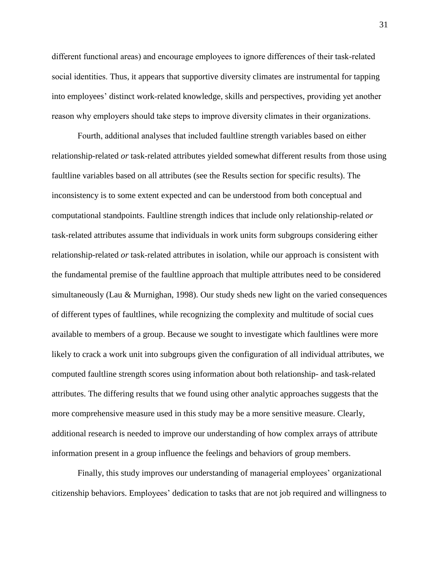different functional areas) and encourage employees to ignore differences of their task-related social identities. Thus, it appears that supportive diversity climates are instrumental for tapping into employees' distinct work-related knowledge, skills and perspectives, providing yet another reason why employers should take steps to improve diversity climates in their organizations.

Fourth, additional analyses that included faultline strength variables based on either relationship-related *or* task-related attributes yielded somewhat different results from those using faultline variables based on all attributes (see the Results section for specific results). The inconsistency is to some extent expected and can be understood from both conceptual and computational standpoints. Faultline strength indices that include only relationship-related *or* task-related attributes assume that individuals in work units form subgroups considering either relationship-related *or* task-related attributes in isolation, while our approach is consistent with the fundamental premise of the faultline approach that multiple attributes need to be considered simultaneously (Lau & Murnighan, 1998). Our study sheds new light on the varied consequences of different types of faultlines, while recognizing the complexity and multitude of social cues available to members of a group. Because we sought to investigate which faultlines were more likely to crack a work unit into subgroups given the configuration of all individual attributes, we computed faultline strength scores using information about both relationship- and task-related attributes. The differing results that we found using other analytic approaches suggests that the more comprehensive measure used in this study may be a more sensitive measure. Clearly, additional research is needed to improve our understanding of how complex arrays of attribute information present in a group influence the feelings and behaviors of group members.

Finally, this study improves our understanding of managerial employees' organizational citizenship behaviors. Employees' dedication to tasks that are not job required and willingness to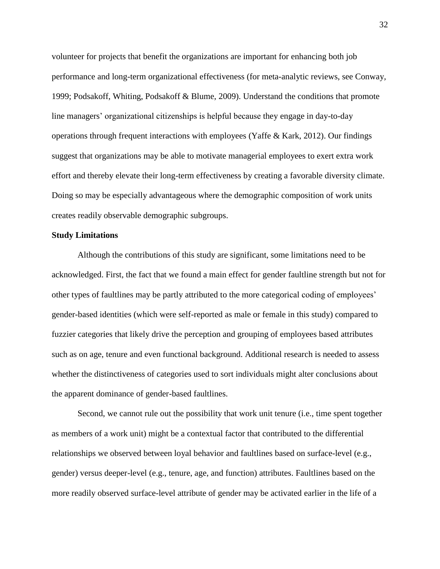volunteer for projects that benefit the organizations are important for enhancing both job performance and long-term organizational effectiveness (for meta-analytic reviews, see Conway*,*  1999; Podsakoff, Whiting, Podsakoff & Blume, 2009). Understand the conditions that promote line managers' organizational citizenships is helpful because they engage in day-to-day operations through frequent interactions with employees (Yaffe & Kark, 2012). Our findings suggest that organizations may be able to motivate managerial employees to exert extra work effort and thereby elevate their long-term effectiveness by creating a favorable diversity climate. Doing so may be especially advantageous where the demographic composition of work units creates readily observable demographic subgroups.

#### **Study Limitations**

Although the contributions of this study are significant, some limitations need to be acknowledged. First, the fact that we found a main effect for gender faultline strength but not for other types of faultlines may be partly attributed to the more categorical coding of employees' gender-based identities (which were self-reported as male or female in this study) compared to fuzzier categories that likely drive the perception and grouping of employees based attributes such as on age, tenure and even functional background. Additional research is needed to assess whether the distinctiveness of categories used to sort individuals might alter conclusions about the apparent dominance of gender-based faultlines.

Second, we cannot rule out the possibility that work unit tenure (i.e., time spent together as members of a work unit) might be a contextual factor that contributed to the differential relationships we observed between loyal behavior and faultlines based on surface-level (e.g., gender) versus deeper-level (e.g., tenure, age, and function) attributes. Faultlines based on the more readily observed surface-level attribute of gender may be activated earlier in the life of a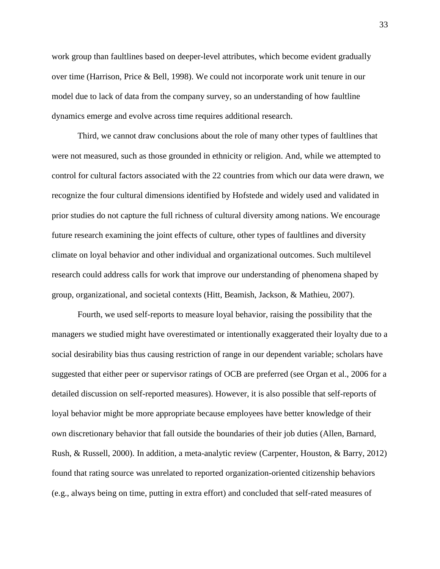work group than faultlines based on deeper-level attributes, which become evident gradually over time (Harrison, Price & Bell, 1998). We could not incorporate work unit tenure in our model due to lack of data from the company survey, so an understanding of how faultline dynamics emerge and evolve across time requires additional research.

Third, we cannot draw conclusions about the role of many other types of faultlines that were not measured, such as those grounded in ethnicity or religion. And, while we attempted to control for cultural factors associated with the 22 countries from which our data were drawn, we recognize the four cultural dimensions identified by Hofstede and widely used and validated in prior studies do not capture the full richness of cultural diversity among nations. We encourage future research examining the joint effects of culture, other types of faultlines and diversity climate on loyal behavior and other individual and organizational outcomes. Such multilevel research could address calls for work that improve our understanding of phenomena shaped by group, organizational, and societal contexts (Hitt, Beamish, Jackson, & Mathieu, 2007).

Fourth, we used self-reports to measure loyal behavior, raising the possibility that the managers we studied might have overestimated or intentionally exaggerated their loyalty due to a social desirability bias thus causing restriction of range in our dependent variable; scholars have suggested that either peer or supervisor ratings of OCB are preferred (see Organ et al., 2006 for a detailed discussion on self-reported measures). However, it is also possible that self-reports of loyal behavior might be more appropriate because employees have better knowledge of their own discretionary behavior that fall outside the boundaries of their job duties (Allen, Barnard, Rush, & Russell, 2000). In addition, a meta-analytic review (Carpenter, Houston, & Barry, 2012) found that rating source was unrelated to reported organization-oriented citizenship behaviors (e.g., always being on time, putting in extra effort) and concluded that self-rated measures of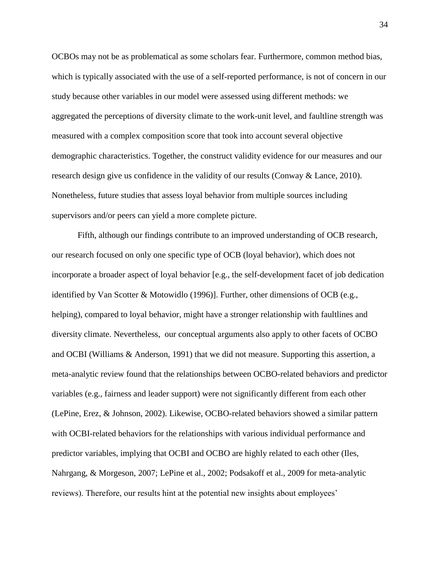OCBOs may not be as problematical as some scholars fear. Furthermore, common method bias, which is typically associated with the use of a self-reported performance, is not of concern in our study because other variables in our model were assessed using different methods: we aggregated the perceptions of diversity climate to the work-unit level, and faultline strength was measured with a complex composition score that took into account several objective demographic characteristics. Together, the construct validity evidence for our measures and our research design give us confidence in the validity of our results (Conway & Lance, 2010). Nonetheless, future studies that assess loyal behavior from multiple sources including supervisors and/or peers can yield a more complete picture.

Fifth, although our findings contribute to an improved understanding of OCB research, our research focused on only one specific type of OCB (loyal behavior), which does not incorporate a broader aspect of loyal behavior [e.g., the self-development facet of job dedication identified by Van Scotter & Motowidlo (1996)]. Further, other dimensions of OCB (e.g., helping), compared to loyal behavior, might have a stronger relationship with faultlines and diversity climate. Nevertheless, our conceptual arguments also apply to other facets of OCBO and OCBI (Williams & Anderson, 1991) that we did not measure. Supporting this assertion, a meta-analytic review found that the relationships between OCBO-related behaviors and predictor variables (e.g., fairness and leader support) were not significantly different from each other (LePine, Erez, & Johnson, 2002). Likewise, OCBO-related behaviors showed a similar pattern with OCBI-related behaviors for the relationships with various individual performance and predictor variables, implying that OCBI and OCBO are highly related to each other (Iles, Nahrgang, & Morgeson, 2007; LePine et al., 2002; Podsakoff et al., 2009 for meta-analytic reviews). Therefore, our results hint at the potential new insights about employees'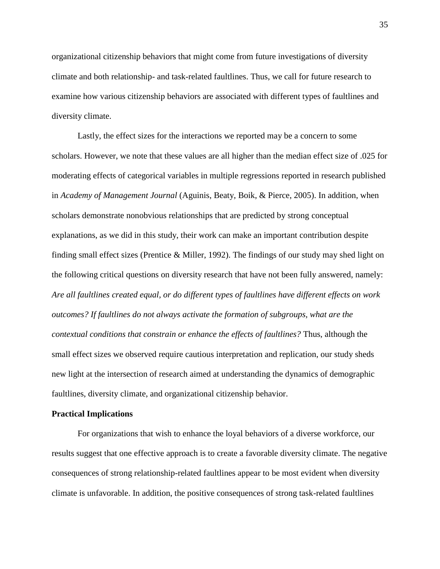organizational citizenship behaviors that might come from future investigations of diversity climate and both relationship- and task-related faultlines. Thus, we call for future research to examine how various citizenship behaviors are associated with different types of faultlines and diversity climate.

Lastly, the effect sizes for the interactions we reported may be a concern to some scholars. However, we note that these values are all higher than the median effect size of .025 for moderating effects of categorical variables in multiple regressions reported in research published in *Academy of Management Journal* (Aguinis, Beaty, Boik, & Pierce, 2005). In addition, when scholars demonstrate nonobvious relationships that are predicted by strong conceptual explanations, as we did in this study, their work can make an important contribution despite finding small effect sizes (Prentice & Miller, 1992). The findings of our study may shed light on the following critical questions on diversity research that have not been fully answered, namely: *Are all faultlines created equal, or do different types of faultlines have different effects on work outcomes? If faultlines do not always activate the formation of subgroups, what are the contextual conditions that constrain or enhance the effects of faultlines?* Thus, although the small effect sizes we observed require cautious interpretation and replication, our study sheds new light at the intersection of research aimed at understanding the dynamics of demographic faultlines, diversity climate, and organizational citizenship behavior.

#### **Practical Implications**

For organizations that wish to enhance the loyal behaviors of a diverse workforce, our results suggest that one effective approach is to create a favorable diversity climate. The negative consequences of strong relationship-related faultlines appear to be most evident when diversity climate is unfavorable. In addition, the positive consequences of strong task-related faultlines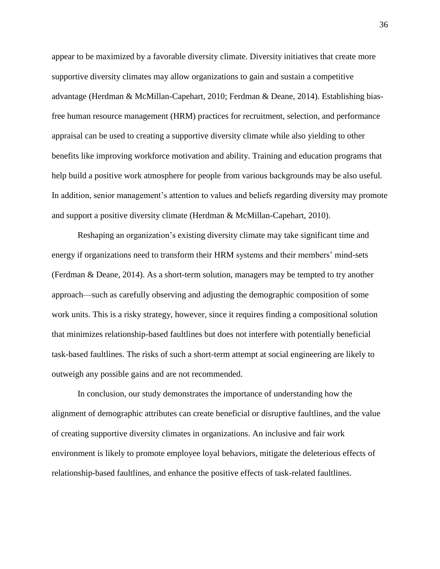appear to be maximized by a favorable diversity climate. Diversity initiatives that create more supportive diversity climates may allow organizations to gain and sustain a competitive advantage (Herdman & McMillan-Capehart, 2010; Ferdman & Deane, 2014). Establishing biasfree human resource management (HRM) practices for recruitment, selection, and performance appraisal can be used to creating a supportive diversity climate while also yielding to other benefits like improving workforce motivation and ability. Training and education programs that help build a positive work atmosphere for people from various backgrounds may be also useful. In addition, senior management's attention to values and beliefs regarding diversity may promote and support a positive diversity climate (Herdman & McMillan-Capehart, 2010).

Reshaping an organization's existing diversity climate may take significant time and energy if organizations need to transform their HRM systems and their members' mind-sets (Ferdman & Deane, 2014). As a short-term solution, managers may be tempted to try another approach—such as carefully observing and adjusting the demographic composition of some work units. This is a risky strategy, however, since it requires finding a compositional solution that minimizes relationship-based faultlines but does not interfere with potentially beneficial task-based faultlines. The risks of such a short-term attempt at social engineering are likely to outweigh any possible gains and are not recommended.

In conclusion, our study demonstrates the importance of understanding how the alignment of demographic attributes can create beneficial or disruptive faultlines, and the value of creating supportive diversity climates in organizations. An inclusive and fair work environment is likely to promote employee loyal behaviors, mitigate the deleterious effects of relationship-based faultlines, and enhance the positive effects of task-related faultlines.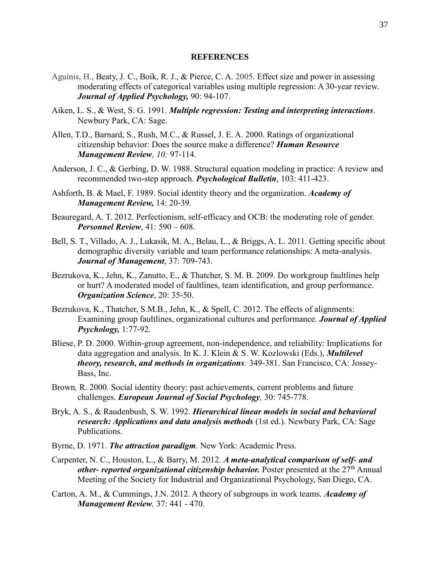#### **REFERENCES**

- Aguinis, H., Beaty, J. C., Boik, R. J., & Pierce, C. A. 2005. Effect size and power in assessing moderating effects of categorical variables using multiple regression: A 30-year review. *Journal of Applied Psychology,* 90: 94-107.
- Aiken, L. S., & West, S. G. 1991. *Multiple regression: Testing and interpreting interactions*. Newbury Park, CA: Sage.
- Allen, T.D., Barnard, S., Rush, M.C., & Russel, J. E. A. 2000. Ratings of organizational citizenship behavior: Does the source make a difference? *Human Resource Management Review, 10:* 97-114.
- Anderson, J. C., & Gerbing, D. W. 1988. Structural equation modeling in practice: A review and recommended two-step approach. *Psychological Bulletin*, 103: 411-423.
- Ashforth, B. & Mael, F. 1989. Social identity theory and the organization. *Academy of Management Review,* 14: 20-39*.*
- Beauregard, A. T. 2012. Perfectionism, self-efficacy and OCB: the moderating role of gender. *Personnel Review*, 41: 590 – 608.
- Bell, S. T., Villado, A. J., Lukasik, M. A., Belau, L., & Briggs, A. L. 2011. Getting specific about demographic diversity variable and team performance relationships: A meta-analysis. *Journal of Management*, 37: 709-743.
- Bezrukova, K., Jehn, K., Zanutto, E., & Thatcher, S. M. B. 2009. Do workgroup faultlines help or hurt? A moderated model of faultlines, team identification, and group performance. *Organization Science*, 20: 35-50.
- Bezrukova, K., Thatcher, S.M.B., Jehn, K., & Spell, C. 2012. The effects of alignments: Examining group faultlines, organizational cultures and performance. *Journal of Applied Psychology,* 1:77-92*.*
- Bliese, P. D. 2000. Within-group agreement, non-independence, and reliability: Implications for data aggregation and analysis. In K. J. Klein & S. W. Kozlowski (Eds.), *Multilevel theory, research, and methods in organizations:* 349-381. San Francisco, CA: Jossey-Bass, Inc.
- Brown*,* R. 2000*.* Social identity theory: past achievements, current problems and future challenges. *European Journal of Social Psychology,* 30: 745-778.
- Bryk, A. S., & Raudenbush, S. W. 1992. *Hierarchical linear models in social and behavioral research: Applications and data analysis methods* (1st ed.). Newbury Park, CA: Sage Publications.
- Byrne, D. 1971. *The attraction paradigm*. New York: Academic Press.
- Carpenter, N. C., Houston, L., & Barry, M. 2012. *A meta-analytical comparison of self- and other- reported organizational citizenship behavior.* Poster presented at the 27th Annual Meeting of the Society for Industrial and Organizational Psychology, San Diego, CA.
- Carton, A. M., & Cummings, J.N. 2012. A theory of subgroups in work teams. *Academy of Management Review,* 37: 441 - 470.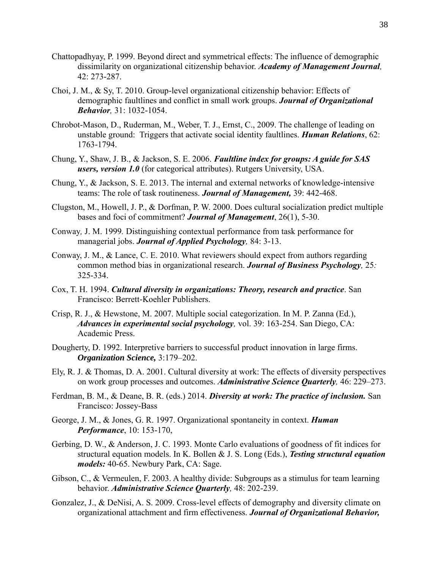- Chattopadhyay, P. 1999. Beyond direct and symmetrical effects: The influence of demographic dissimilarity on organizational citizenship behavior. *Academy of Management Journal,*  42: 273-287.
- Choi, J. M., & Sy, T. 2010. Group-level organizational citizenship behavior: Effects of demographic faultlines and conflict in small work groups. *Journal of Organizational Behavior,* 31: 1032-1054.
- Chrobot-Mason, D., Ruderman, M., Weber, T. J., Ernst, C., 2009. The challenge of leading on unstable ground: Triggers that activate social identity faultlines. *Human Relations*, 62: 1763-1794.
- Chung, Y., Shaw, J. B., & Jackson, S. E. 2006. *Faultline index for groups: A guide for SAS users, version 1.0* (for categorical attributes). Rutgers University, USA.
- Chung, Y., & Jackson, S. E. 2013. The internal and external networks of knowledge-intensive teams: The role of task routineness. *Journal of Management,* 39: 442-468.
- Clugston, M., Howell, J. P., & Dorfman, P. W. 2000. Does cultural socialization predict multiple bases and foci of commitment? *Journal of Management*, 26(1), 5-30.
- Conway*,* J. M. 1999*.* Distinguishing contextual performance from task performance for managerial jobs. *Journal of Applied Psychology,* 84: 3-13.
- Conway, J. M., & Lance, C. E. 2010. What reviewers should expect from authors regarding common method bias in organizational research. *Journal of Business Psychology,* 25*:* 325-334.
- Cox, T. H. 1994. *Cultural diversity in organizations: Theory, research and practice*. San Francisco: Berrett-Koehler Publishers.
- Crisp, R. J., & Hewstone, M. 2007. Multiple social categorization. In M. P. Zanna (Ed.), *Advances in experimental social psychology,* vol. 39: 163-254. San Diego, CA: Academic Press.
- Dougherty, D. 1992. Interpretive barriers to successful product innovation in large firms. *Organization Science,* 3:179–202.
- Ely, R. J. & Thomas, D. A. 2001. Cultural diversity at work: The effects of diversity perspectives on work group processes and outcomes. *Administrative Science Quarterly,* 46: 229–273.
- Ferdman, B. M., & Deane, B. R. (eds.) 2014. *Diversity at work: The practice of inclusion.* San Francisco: Jossey-Bass
- George, J. M., & Jones, G. R. 1997. Organizational spontaneity in context. *Human Performance*, 10: 153-170,
- Gerbing, D. W., & Anderson, J. C. 1993. Monte Carlo evaluations of goodness of fit indices for structural equation models. In K. Bollen & J. S. Long (Eds.), *Testing structural equation models:* 40-65. Newbury Park, CA: Sage.
- Gibson, C., & Vermeulen, F. 2003. A healthy divide: Subgroups as a stimulus for team learning behavior. *Administrative Science Quarterly,* 48: 202-239.
- Gonzalez, J., & DeNisi, A. S. 2009. Cross-level effects of demography and diversity climate on organizational attachment and firm effectiveness. *Journal of Organizational Behavior,*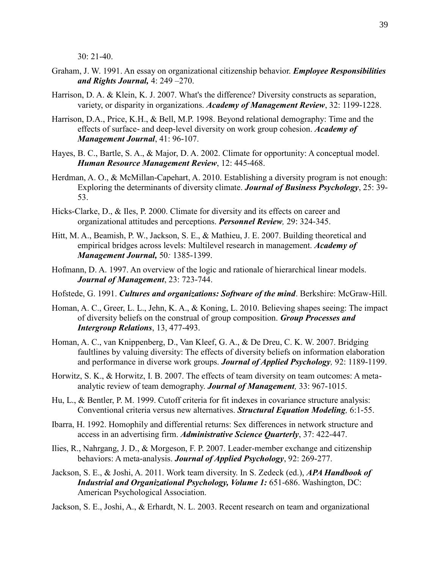30: 21-40.

- Graham, J. W. 1991. An essay on organizational citizenship behavior. *Employee Responsibilities and Rights Journal,* 4: 249 –270.
- Harrison, D. A. & Klein, K. J. 2007. What's the difference? Diversity constructs as separation, variety, or disparity in organizations. *Academy of Management Review*, 32: 1199-1228.
- Harrison, D.A., Price, K.H., & Bell, M.P. 1998. Beyond relational demography: Time and the effects of surface- and deep-level diversity on work group cohesion. *Academy of Management Journal*, 41: 96-107.
- Hayes, B. C., Bartle, S. A., & Major, D. A. 2002. Climate for opportunity: A conceptual model. *Human Resource Management Review*, 12: 445-468.
- Herdman, A. O., & McMillan-Capehart, A. 2010. Establishing a diversity program is not enough: Exploring the determinants of diversity climate. *Journal of Business Psychology*, 25: 39- 53.
- Hicks-Clarke, D., & Iles, P. 2000. Climate for diversity and its effects on career and organizational attitudes and perceptions. *Personnel Review,* 29: 324-345.
- Hitt, M. A., Beamish, P. W., Jackson, S. E., & Mathieu, J. E. 2007. Building theoretical and empirical bridges across levels: Multilevel research in management. *Academy of Management Journal,* 50*:* 1385-1399.
- Hofmann, D. A. 1997. An overview of the logic and rationale of hierarchical linear models. *Journal of Management*, 23: 723-744.
- Hofstede, G. 1991. *Cultures and organizations: Software of the mind*. Berkshire: McGraw-Hill.
- Homan, A. C., Greer, L. L., Jehn, K. A., & Koning, L. 2010. Believing shapes seeing: The impact of diversity beliefs on the construal of group composition. *Group Processes and Intergroup Relations*, 13, 477-493.
- Homan, A. C., van Knippenberg, D., Van Kleef, G. A., & De Dreu, C. K. W. 2007. Bridging faultlines by valuing diversity: The effects of diversity beliefs on information elaboration and performance in diverse work groups. *Journal of Applied Psychology,* 92: 1189-1199.
- Horwitz, S. K., & Horwitz, I. B. 2007. The effects of team diversity on team outcomes: A metaanalytic review of team demography. *Journal of Management,* 33: 967-1015.
- Hu, L., & Bentler, P. M. 1999. Cutoff criteria for fit indexes in covariance structure analysis: Conventional criteria versus new alternatives. *Structural Equation Modeling,* 6:1-55.
- Ibarra, H. 1992. Homophily and differential returns: Sex differences in network structure and access in an advertising firm. *Administrative Science Quarterly*, 37: 422-447.
- Ilies, R., Nahrgang, J. D., & Morgeson, F. P. 2007. Leader-member exchange and citizenship behaviors: A meta-analysis. *Journal of Applied Psychology*, 92: 269-277.
- Jackson, S. E., & Joshi, A. 2011. Work team diversity. In S. Zedeck (ed.), *APA Handbook of Industrial and Organizational Psychology, Volume 1:* 651-686. Washington, DC: American Psychological Association.
- Jackson, S. E., Joshi, A., & Erhardt, N. L. 2003. Recent research on team and organizational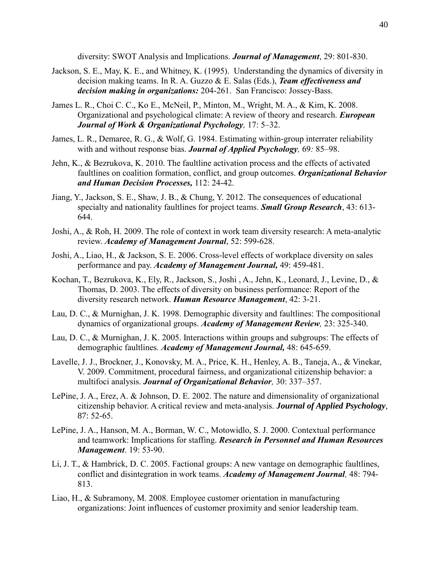diversity: SWOT Analysis and Implications. *Journal of Management*, 29: 801-830.

- Jackson, S. E., May, K. E., and Whitney, K. (1995). Understanding the dynamics of diversity in decision making teams. In R. A. Guzzo & E. Salas (Eds.), *Team effectiveness and decision making in organizations:* 204-261. San Francisco: Jossey-Bass.
- James L. R., Choi C. C., Ko E., McNeil, P., Minton, M., Wright, M. A., & Kim, K. 2008. Organizational and psychological climate: A review of theory and research. *European Journal of Work & Organizational Psychology,* 17: 5–32.
- James, L. R., Demaree, R. G., & Wolf, G. 1984. Estimating within-group interrater reliability with and without response bias. *Journal of Applied Psychology,* 69*:* 85–98.
- Jehn, K., & Bezrukova, K. 2010. The faultline activation process and the effects of activated faultlines on coalition formation, conflict, and group outcomes. *Organizational Behavior and Human Decision Processes,* 112: 24-42.
- Jiang, Y., Jackson, S. E., Shaw, J. B., & Chung, Y. 2012. The consequences of educational specialty and nationality faultlines for project teams. *Small Group Research*, 43: 613- 644.
- Joshi, A., & Roh, H. 2009. The role of context in work team diversity research: A meta-analytic review. *Academy of Management Journal*, 52: 599-628.
- Joshi, A., Liao, H., & Jackson, S. E. 2006. Cross-level effects of workplace diversity on sales performance and pay. *Academy of Management Journal,* 49: 459-481.
- Kochan, T., Bezrukova, K., Ely, R., Jackson, S., Joshi , A., Jehn, K., Leonard, J., Levine, D., & Thomas, D. 2003. The effects of diversity on business performance: Report of the diversity research network. *Human Resource Management*, 42: 3-21.
- Lau, D. C., & Murnighan, J. K. 1998. Demographic diversity and faultlines: The compositional dynamics of organizational groups. *Academy of Management Review,* 23: 325-340.
- Lau, D. C., & Murnighan, J. K. 2005. Interactions within groups and subgroups: The effects of demographic faultlines*. Academy of Management Journal,* 48: 645-659.
- Lavelle, J. J., Brockner, J., Konovsky, M. A., Price, K. H., Henley, A. B., Taneja, A., & Vinekar, V. 2009. Commitment, procedural fairness, and organizational citizenship behavior: a multifoci analysis. *Journal of Organizational Behavior,* 30: 337–357.
- LePine, J. A., Erez, A. & Johnson, D. E. 2002. The nature and dimensionality of organizational citizenship behavior. A critical review and meta-analysis. *Journal of Applied Psychology,*  87: 52-65.
- LePine, J. A., Hanson, M. A., Borman, W. C., Motowidlo, S. J. 2000. Contextual performance and teamwork: Implications for staffing. *Research in Personnel and Human Resources Management*. 19: 53-90.
- Li, J. T., & Hambrick, D. C. 2005. Factional groups: A new vantage on demographic faultlines, conflict and disintegration in work teams. *Academy of Management Journal,* 48: 794- 813.
- Liao, H., & Subramony, M. 2008. Employee customer orientation in manufacturing organizations: Joint influences of customer proximity and senior leadership team.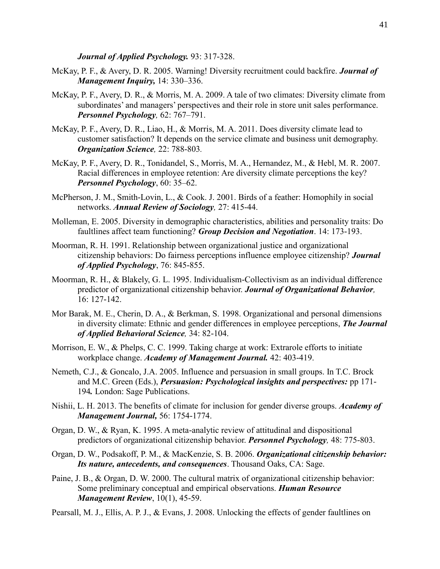*Journal of Applied Psychology.* 93: 317-328.

- McKay, P. F., & Avery, D. R. 2005. Warning! Diversity recruitment could backfire. *Journal of Management Inquiry,* 14: 330–336.
- McKay, P. F., Avery, D. R., & Morris, M. A. 2009. A tale of two climates: Diversity climate from subordinates' and managers' perspectives and their role in store unit sales performance. *Personnel Psychology,* 62: 767–791.
- McKay, P. F., Avery, D. R., Liao, H., & Morris, M. A. 2011. Does diversity climate lead to customer satisfaction? It depends on the service climate and business unit demography. *Organization Science,* 22: 788-803*.*
- McKay, P. F., Avery, D. R., Tonidandel, S., Morris, M. A., Hernandez, M., & Hebl, M. R. 2007. Racial differences in employee retention: Are diversity climate perceptions the key? *Personnel Psychology*, 60: 35–62.
- McPherson, J. M., Smith-Lovin, L., & Cook. J. 2001. Birds of a feather: Homophily in social networks. *Annual Review of Sociology,* 27: 415-44.
- Molleman, E. 2005. Diversity in demographic characteristics, abilities and personality traits: Do faultlines affect team functioning? *Group Decision and Negotiation*. 14: 173-193.
- Moorman, R. H. 1991. Relationship between organizational justice and organizational citizenship behaviors: Do fairness perceptions influence employee citizenship? *Journal of Applied Psychology*, 76: 845-855.
- Moorman, R. H., & Blakely, G. L. 1995. Individualism-Collectivism as an individual difference predictor of organizational citizenship behavior. *Journal of Organizational Behavior,*  16: 127-142.
- Mor Barak, M. E., Cherin, D. A., & Berkman, S. 1998. Organizational and personal dimensions in diversity climate: Ethnic and gender differences in employee perceptions, *The Journal of Applied Behavioral Science,* 34: 82-104.
- Morrison, E. W., & Phelps, C. C. 1999. Taking charge at work: Extrarole efforts to initiate workplace change. *Academy of Management Journal.* 42: 403-419.
- Nemeth, C.J., & Goncalo, J.A. 2005. Influence and persuasion in small groups. In T.C. Brock and M.C. Green (Eds.), *Persuasion: Psychological insights and perspectives:* pp 171- 194*.* London: Sage Publications.
- Nishii, L. H. 2013. The benefits of climate for inclusion for gender diverse groups. *Academy of Management Journal,* 56: 1754-1774.
- Organ, D. W., & Ryan, K. 1995. A meta-analytic review of attitudinal and dispositional predictors of organizational citizenship behavior. *Personnel Psychology,* 48: 775-803.
- Organ, D. W., Podsakoff, P. M., & MacKenzie, S. B. 2006. *Organizational citizenship behavior: Its nature, antecedents, and consequences*. Thousand Oaks, CA: Sage.
- Paine, J. B., & Organ, D. W. 2000. The cultural matrix of organizational citizenship behavior: Some preliminary conceptual and empirical observations. *Human Resource Management Review*, 10(1), 45-59.
- Pearsall, M. J., Ellis, A. P. J., & Evans, J. 2008. Unlocking the effects of gender faultlines on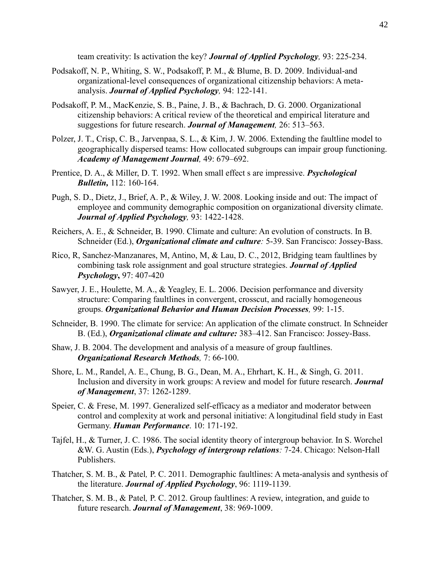team creativity: Is activation the key? *Journal of Applied Psychology,* 93: 225-234.

- Podsakoff, N. P., Whiting, S. W., Podsakoff, P. M., & Blume, B. D. 2009. Individual-and organizational-level consequences of organizational citizenship behaviors: A metaanalysis. *Journal of Applied Psychology,* 94: 122-141.
- Podsakoff, P. M., MacKenzie, S. B., Paine, J. B., & Bachrach, D. G. 2000. Organizational citizenship behaviors: A critical review of the theoretical and empirical literature and suggestions for future research. *Journal of Management,* 26: 513–563.
- Polzer, J. T., Crisp, C. B., Jarvenpaa, S. L., & Kim, J. W. 2006. Extending the faultline model to geographically dispersed teams: How collocated subgroups can impair group functioning. *Academy of Management Journal,* 49: 679–692.
- Prentice, D. A., & Miller, D. T. 1992. When small effect s are impressive. *Psychological Bulletin,* 112: 160-164.
- Pugh, S. D., Dietz, J., Brief, A. P., & Wiley, J. W. 2008. Looking inside and out: The impact of employee and community demographic composition on organizational diversity climate. *Journal of Applied Psychology,* 93: 1422-1428.
- Reichers, A. E., & Schneider, B. 1990. Climate and culture: An evolution of constructs. In B. Schneider (Ed.), *Organizational climate and culture:* 5-39. San Francisco: Jossey-Bass.
- Rico, R, Sanchez-Manzanares, M, Antino, M, & Lau, D. C., 2012, Bridging team faultlines by combining task role assignment and goal structure strategies. *Journal of Applied Psychology***,** 97: 407-420
- Sawyer, J. E., Houlette, M. A., & Yeagley, E. L. 2006. Decision performance and diversity structure: Comparing faultlines in convergent, crosscut, and racially homogeneous groups. *Organizational Behavior and Human Decision Processes,* 99: 1-15.
- Schneider, B. 1990. The climate for service: An application of the climate construct. In Schneider B. (Ed.), *Organizational climate and culture:* 383–412. San Francisco: Jossey-Bass.
- Shaw, J. B. 2004. The development and analysis of a measure of group faultlines. *Organizational Research Methods,* 7: 66-100.
- Shore, L. M., Randel, A. E., Chung, B. G., Dean, M. A., Ehrhart, K. H., & Singh, G. 2011. Inclusion and diversity in work groups: A review and model for future research. *Journal of Management*, 37: 1262-1289.
- Speier, C. & Frese, M. 1997. Generalized self-efficacy as a mediator and moderator between control and complexity at work and personal initiative: A longitudinal field study in East Germany. *Human Performance*. 10: 171-192.
- Tajfel, H., & Turner, J. C. 1986. The social identity theory of intergroup behavior. In S. Worchel &W. G. Austin (Eds.), *Psychology of intergroup relations:* 7-24. Chicago: Nelson-Hall Publishers.
- Thatcher, S. M. B., & Patel*,* P. C. 2011*.* Demographic faultlines: A meta-analysis and synthesis of the literature. *Journal of Applied Psychology*, 96: 1119-1139.
- Thatcher, S. M. B., & Patel*,* P. C. 2012. Group faultlines: A review, integration, and guide to future research. *Journal of Management*, 38: 969-1009.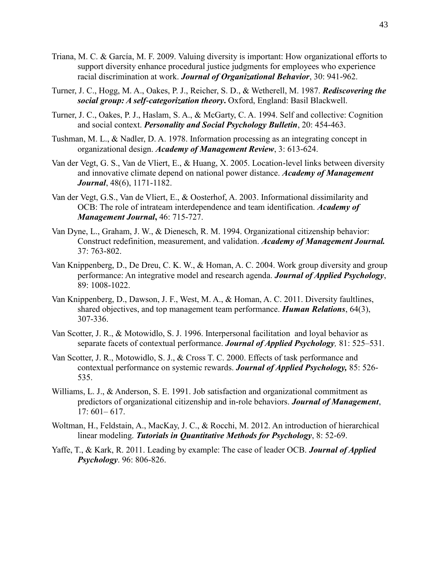- Triana, M. C. & García, M. F. 2009. Valuing diversity is important: How organizational efforts to support diversity enhance procedural justice judgments for employees who experience racial discrimination at work. *Journal of Organizational Behavior*, 30: 941-962.
- Turner, J. C., Hogg, M. A., Oakes, P. J., Reicher, S. D., & Wetherell, M. 1987. *Rediscovering the social group: A self-categorization theory***.** Oxford, England: Basil Blackwell.
- Turner, J. C., Oakes, P. J., Haslam, S. A., & McGarty, C. A. 1994. Self and collective: Cognition and social context. *Personality and Social Psychology Bulletin*, 20: 454-463.
- Tushman, M. L., & Nadler, D. A. 1978. Information processing as an integrating concept in organizational design. *Academy of Management Review*, 3: 613-624.
- Van der Vegt, G. S., Van de Vliert, E., & Huang, X. 2005. Location-level links between diversity and innovative climate depend on national power distance. *Academy of Management Journal*, 48(6), 1171-1182.
- Van der Vegt, G.S., Van de Vliert, E., & Oosterhof, A. 2003. Informational dissimilarity and OCB: The role of intrateam interdependence and team identification. *Academy of Management Journal***,** 46: 715-727.
- Van Dyne, L., Graham, J. W., & Dienesch, R. M. 1994. Organizational citizenship behavior: Construct redefinition, measurement, and validation. *Academy of Management Journal.* 37: 763-802.
- Van Knippenberg, D., De Dreu, C. K. W., & Homan, A. C. 2004. Work group diversity and group performance: An integrative model and research agenda. *Journal of Applied Psychology*, 89: 1008-1022.
- Van Knippenberg, D., Dawson, J. F., West, M. A., & Homan, A. C. 2011. Diversity faultlines, shared objectives, and top management team performance. *Human Relations*, 64(3), 307-336.
- Van Scotter, J. R., & Motowidlo, S. J. 1996. Interpersonal facilitation and loyal behavior as separate facets of contextual performance. *Journal of Applied Psychology,* 81: 525–531.
- Van Scotter, J. R., Motowidlo, S. J., & Cross T. C. 2000. Effects of task performance and contextual performance on systemic rewards. *Journal of Applied Psychology,* 85: 526- 535.
- Williams, L. J., & Anderson, S. E. 1991. Job satisfaction and organizational commitment as predictors of organizational citizenship and in-role behaviors. *Journal of Management*, 17: 601– 617.
- Woltman, H., Feldstain, A., MacKay, J. C., & Rocchi, M. 2012. An introduction of hierarchical linear modeling. *Tutorials in Quantitative Methods for Psychology*, 8: 52-69.
- Yaffe, T., & Kark, R. 2011. Leading by example: The case of leader OCB. *Journal of Applied Psychology*. 96: 806-826.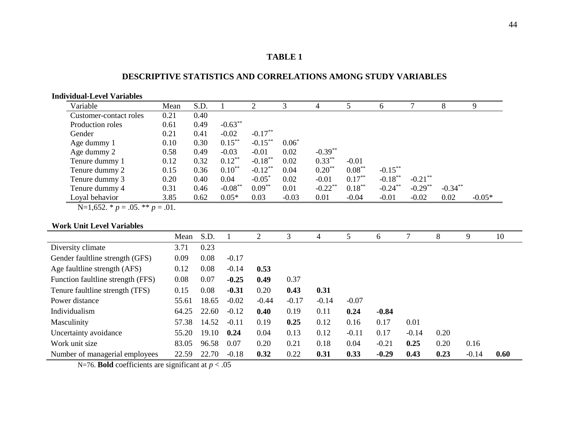## **TABLE 1**

## **DESCRIPTIVE STATISTICS AND CORRELATIONS AMONG STUDY VARIABLES**

### **Individual-Level Variables**

| Variable               | Mean | S.D. |            | 2          |         | 4                     |           | 6          |            | 8          | 9        |
|------------------------|------|------|------------|------------|---------|-----------------------|-----------|------------|------------|------------|----------|
| Customer-contact roles | 0.21 | 0.40 |            |            |         |                       |           |            |            |            |          |
| Production roles       | 0.61 | 0.49 | $-0.63***$ |            |         |                       |           |            |            |            |          |
| Gender                 | 0.21 | 0.41 | $-0.02$    | $-0.17**$  |         |                       |           |            |            |            |          |
| Age dummy 1            | 0.10 | 0.30 | $0.15***$  | $-0.15***$ | $0.06*$ |                       |           |            |            |            |          |
| Age dummy 2            | 0.58 | 0.49 | $-0.03$    | $-0.01$    | 0.02    | $-0.39**$             |           |            |            |            |          |
| Tenure dummy 1         | 0.12 | 0.32 | $0.12***$  | $-0.18***$ | 0.02    | $0.33***$             | $-0.01$   |            |            |            |          |
| Tenure dummy 2         | 0.15 | 0.36 | $0.10**$   | $-0.12**$  | 0.04    | $0.20**$              | $0.08***$ | $-0.15***$ |            |            |          |
| Tenure dummy 3         | 0.20 | 0.40 | 0.04       | $-0.05*$   | 0.02    | $-0.01$               | $0.17***$ | $-0.18***$ | $-0.21$ ** |            |          |
| Tenure dummy 4         | 0.31 | 0.46 | $-0.08***$ | $0.09***$  | 0.01    | $-0.22$ <sup>**</sup> | $0.18***$ | $-0.24***$ | $-0.29$ ** | $-0.34***$ |          |
| Loyal behavior         | 3.85 | 0.62 | $0.05*$    | 0.03       | $-0.03$ | 0.01                  | $-0.04$   | $-0.01$    | $-0.02$    | 0.02       | $-0.05*$ |

 $N=1,652. * p=.05. *p=.01.$ 

### **Work Unit Level Variables**

|                                   | Mean  | S.D.  |         | 2       | 3       | 4       |         | 6       |         | 8    | 9       | 10   |
|-----------------------------------|-------|-------|---------|---------|---------|---------|---------|---------|---------|------|---------|------|
| Diversity climate                 | 3.71  | 0.23  |         |         |         |         |         |         |         |      |         |      |
| Gender faultline strength (GFS)   | 0.09  | 0.08  | $-0.17$ |         |         |         |         |         |         |      |         |      |
| Age faultline strength (AFS)      | 0.12  | 0.08  | $-0.14$ | 0.53    |         |         |         |         |         |      |         |      |
| Function faultline strength (FFS) | 0.08  | 0.07  | $-0.25$ | 0.49    | 0.37    |         |         |         |         |      |         |      |
| Tenure faultline strength (TFS)   | 0.15  | 0.08  | $-0.31$ | 0.20    | 0.43    | 0.31    |         |         |         |      |         |      |
| Power distance                    | 55.61 | 18.65 | $-0.02$ | $-0.44$ | $-0.17$ | $-0.14$ | $-0.07$ |         |         |      |         |      |
| Individualism                     | 64.25 | 22.60 | $-0.12$ | 0.40    | 0.19    | 0.11    | 0.24    | $-0.84$ |         |      |         |      |
| Masculinity                       | 57.38 | 14.52 | $-0.11$ | 0.19    | 0.25    | 0.12    | 0.16    | 0.17    | 0.01    |      |         |      |
| Uncertainty avoidance             | 55.20 | 19.10 | 0.24    | 0.04    | 0.13    | 0.12    | $-0.11$ | 0.17    | $-0.14$ | 0.20 |         |      |
| Work unit size                    | 83.05 | 96.58 | 0.07    | 0.20    | 0.21    | 0.18    | 0.04    | $-0.21$ | 0.25    | 0.20 | 0.16    |      |
| Number of managerial employees    | 22.59 | 22.70 | $-0.18$ | 0.32    | 0.22    | 0.31    | 0.33    | $-0.29$ | 0.43    | 0.23 | $-0.14$ | 0.60 |

N=76. **Bold** coefficients are significant at  $p < .05$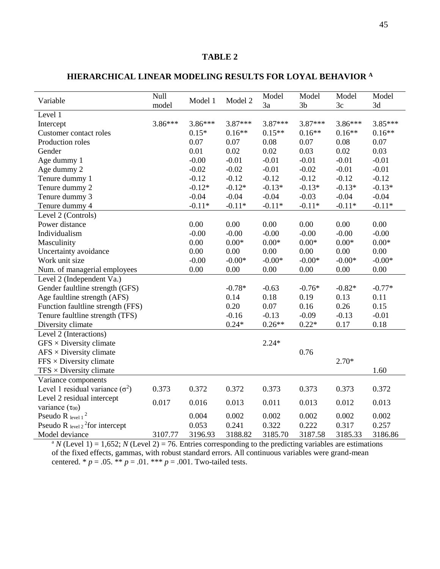## **TABLE 2**

## **HIERARCHICAL LINEAR MODELING RESULTS FOR LOYAL BEHAVIOR <sup>A</sup>**

| Variable                                         | Null    | Model 1   | Model 2   | Model     | Model          | Model     | Model    |
|--------------------------------------------------|---------|-----------|-----------|-----------|----------------|-----------|----------|
|                                                  | model   |           |           | 3a        | 3 <sub>b</sub> | 3c        | 3d       |
| Level 1                                          |         |           |           |           |                |           |          |
| Intercept                                        | 3.86*** | $3.86***$ | $3.87***$ | $3.87***$ | $3.87***$      | $3.86***$ | 3.85***  |
| Customer contact roles                           |         | $0.15*$   | $0.16**$  | $0.15**$  | $0.16**$       | $0.16**$  | $0.16**$ |
| Production roles                                 |         | 0.07      | 0.07      | 0.08      | 0.07           | 0.08      | 0.07     |
| Gender                                           |         | 0.01      | 0.02      | 0.02      | 0.03           | 0.02      | 0.03     |
| Age dummy 1                                      |         | $-0.00$   | $-0.01$   | $-0.01$   | $-0.01$        | $-0.01$   | $-0.01$  |
| Age dummy 2                                      |         | $-0.02$   | $-0.02$   | $-0.01$   | $-0.02$        | $-0.01$   | $-0.01$  |
| Tenure dummy 1                                   |         | $-0.12$   | $-0.12$   | $-0.12$   | $-0.12$        | $-0.12$   | $-0.12$  |
| Tenure dummy 2                                   |         | $-0.12*$  | $-0.12*$  | $-0.13*$  | $-0.13*$       | $-0.13*$  | $-0.13*$ |
| Tenure dummy 3                                   |         | $-0.04$   | $-0.04$   | $-0.04$   | $-0.03$        | $-0.04$   | $-0.04$  |
| Tenure dummy 4                                   |         | $-0.11*$  | $-0.11*$  | $-0.11*$  | $-0.11*$       | $-0.11*$  | $-0.11*$ |
| Level 2 (Controls)                               |         |           |           |           |                |           |          |
| Power distance                                   |         | 0.00      | 0.00      | 0.00      | 0.00           | 0.00      | 0.00     |
| Individualism                                    |         | $-0.00$   | $-0.00$   | $-0.00$   | $-0.00$        | $-0.00$   | $-0.00$  |
| Masculinity                                      |         | 0.00      | $0.00*$   | $0.00*$   | $0.00*$        | $0.00*$   | $0.00*$  |
| Uncertainty avoidance                            |         | 0.00      | 0.00      | 0.00      | 0.00           | 0.00      | 0.00     |
| Work unit size                                   |         | $-0.00$   | $-0.00*$  | $-0.00*$  | $-0.00*$       | $-0.00*$  | $-0.00*$ |
| Num. of managerial employees                     |         | 0.00      | 0.00      | 0.00      | 0.00           | 0.00      | 0.00     |
| Level 2 (Independent Va.)                        |         |           |           |           |                |           |          |
| Gender faultline strength (GFS)                  |         |           | $-0.78*$  | $-0.63$   | $-0.76*$       | $-0.82*$  | $-0.77*$ |
| Age faultline strength (AFS)                     |         |           | 0.14      | 0.18      | 0.19           | 0.13      | 0.11     |
| Function faultline strength (FFS)                |         |           | 0.20      | 0.07      | 0.16           | 0.26      | 0.15     |
| Tenure faultline strength (TFS)                  |         |           | $-0.16$   | $-0.13$   | $-0.09$        | $-0.13$   | $-0.01$  |
| Diversity climate                                |         |           | $0.24*$   | $0.26**$  | $0.22*$        | 0.17      | 0.18     |
| Level 2 (Interactions)                           |         |           |           |           |                |           |          |
| $GFS \times Diversity$ climate                   |         |           |           | $2.24*$   |                |           |          |
| $AFS \times Diversity$ climate                   |         |           |           |           | 0.76           |           |          |
| $FFS \times Diversity$ climate                   |         |           |           |           |                | $2.70*$   |          |
| $TFS \times Diversity$ climate                   |         |           |           |           |                |           | 1.60     |
| Variance components                              |         |           |           |           |                |           |          |
| Level 1 residual variance $(\sigma^2)$           | 0.373   | 0.372     | 0.372     | 0.373     | 0.373          | 0.373     | 0.372    |
| Level 2 residual intercept                       | 0.017   | 0.016     | 0.013     | 0.011     | 0.013          | 0.012     | 0.013    |
| variance $(\tau_{00})$                           |         |           |           |           |                |           |          |
| Pseudo R $_{\rm level\,1}$ $^2$                  |         | 0.004     | 0.002     | 0.002     | 0.002          | 0.002     | 0.002    |
| Pseudo R $_{level 2}$ <sup>2</sup> for intercept |         | 0.053     | 0.241     | 0.322     | 0.222          | 0.317     | 0.257    |
| Model deviance                                   | 3107.77 | 3196.93   | 3188.82   | 3185.70   | 3187.58        | 3185.33   | 3186.86  |

<sup>a</sup> *N* (Level 1) = 1,652; *N* (Level 2) = 76. Entries corresponding to the predicting variables are estimations of the fixed effects, gammas, with robust standard errors. All continuous variables were grand-mean centered.  $* p = .05$ .  $** p = .01$ .  $*** p = .001$ . Two-tailed tests.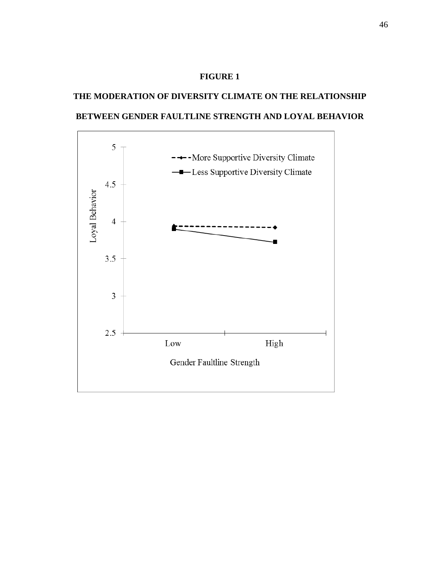## **FIGURE 1**

# **THE MODERATION OF DIVERSITY CLIMATE ON THE RELATIONSHIP BETWEEN GENDER FAULTLINE STRENGTH AND LOYAL BEHAVIOR**